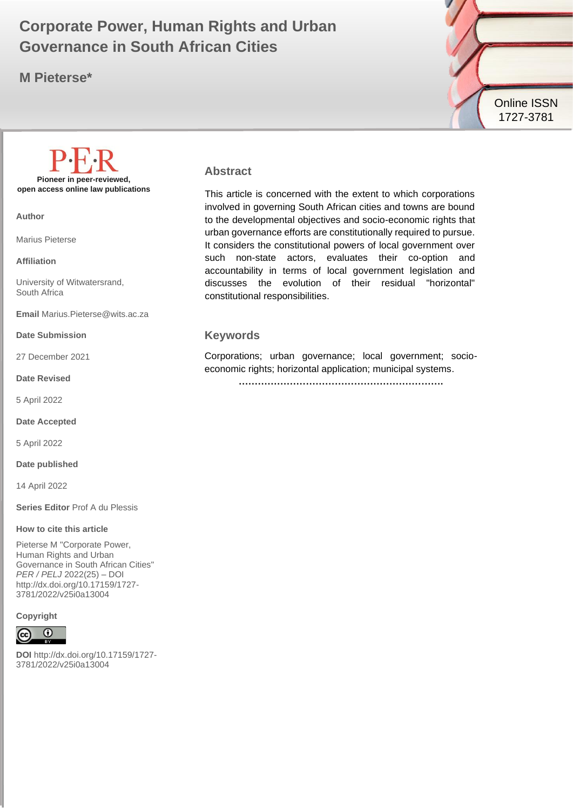# **Governance in South African Cities Covernance in South African Cities Corporate Power, Human Rights and Urban**

**M Pieterse\***



# **Pioneer in peer-reviewed, open access online law publications**

**Author**

Marius Pieterse

**Affiliation**

University of Witwatersrand, South Africa

**Email** Marius.Pieterse@wits.ac.za

**Date Submission**

27 December 2021

**Date Revised**

5 April 2022

**Date Accepted**

5 April 2022

**Date published**

14 April 2022

**Series Editor** Prof A du Plessis

#### **How to cite this article**

Pieterse M "Corporate Power, Human Rights and Urban Governance in South African Cities" *PER / PELJ* 2022(25) – DOI http://dx.doi.org/10.17159/1727- 3781/2022/v25i0a13004

### **Copyright**



**DOI** http://dx.doi.org/10.17159/1727- 3781/2022/v25i0a13004

#### **Abstract**

This article is concerned with the extent to which corporations involved in governing South African cities and towns are bound to the developmental objectives and socio-economic rights that urban governance efforts are constitutionally required to pursue. It considers the constitutional powers of local government over such non-state actors, evaluates their co-option and accountability in terms of local government legislation and discusses the evolution of their residual "horizontal" constitutional responsibilities.

#### **Keywords**

Corporations; urban governance; local government; socioeconomic rights; horizontal application; municipal systems.

**……………………………………………………….**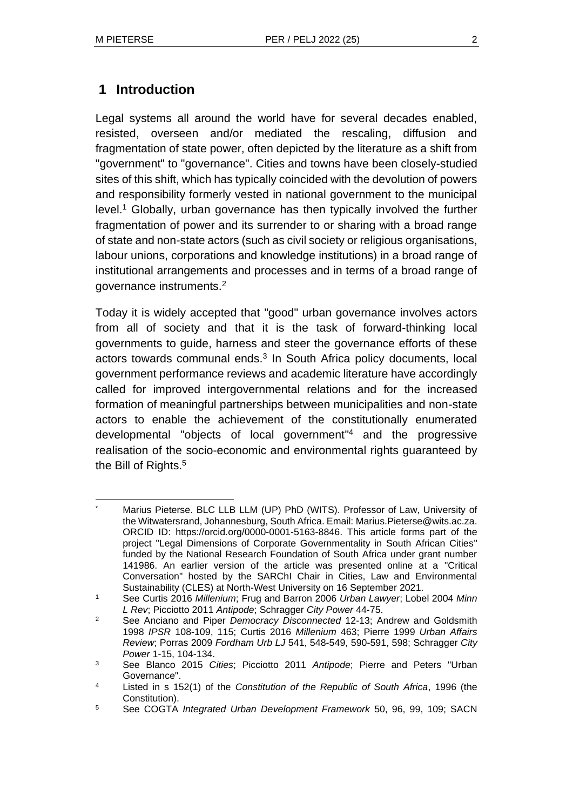Legal systems all around the world have for several decades enabled, resisted, overseen and/or mediated the rescaling, diffusion and fragmentation of state power, often depicted by the literature as a shift from "government" to "governance". Cities and towns have been closely-studied sites of this shift, which has typically coincided with the devolution of powers and responsibility formerly vested in national government to the municipal level.<sup>1</sup> Globally, urban governance has then typically involved the further fragmentation of power and its surrender to or sharing with a broad range of state and non-state actors (such as civil society or religious organisations, labour unions, corporations and knowledge institutions) in a broad range of institutional arrangements and processes and in terms of a broad range of governance instruments.<sup>2</sup>

Today it is widely accepted that "good" urban governance involves actors from all of society and that it is the task of forward-thinking local governments to guide, harness and steer the governance efforts of these actors towards communal ends.<sup>3</sup> In South Africa policy documents, local government performance reviews and academic literature have accordingly called for improved intergovernmental relations and for the increased formation of meaningful partnerships between municipalities and non-state actors to enable the achievement of the constitutionally enumerated developmental "objects of local government" <sup>4</sup> and the progressive realisation of the socio-economic and environmental rights guaranteed by the Bill of Rights.<sup>5</sup>

Marius Pieterse. BLC LLB LLM (UP) PhD (WITS). Professor of Law, University of the Witwatersrand, Johannesburg, South Africa. Email: Marius.Pieterse@wits.ac.za. ORCID ID: https://orcid.org/0000-0001-5163-8846. This article forms part of the project "Legal Dimensions of Corporate Governmentality in South African Cities" funded by the National Research Foundation of South Africa under grant number 141986. An earlier version of the article was presented online at a "Critical Conversation" hosted by the SARChI Chair in Cities, Law and Environmental Sustainability (CLES) at North-West University on 16 September 2021.

<sup>1</sup> See Curtis 2016 *Millenium*; Frug and Barron 2006 *Urban Lawyer*; Lobel 2004 *Minn L Rev*; Picciotto 2011 *Antipode*; Schragger *City Power* 44-75.

<sup>2</sup> See Anciano and Piper *Democracy Disconnected* 12-13; Andrew and Goldsmith 1998 *IPSR* 108-109, 115; Curtis 2016 *Millenium* 463; Pierre 1999 *Urban Affairs Review*; Porras 2009 *Fordham Urb LJ* 541, 548-549, 590-591, 598; Schragger *City Power* 1-15, 104-134.

<sup>3</sup> See Blanco 2015 *Cities*; Picciotto 2011 *Antipode*; Pierre and Peters "Urban Governance".

<sup>4</sup> Listed in s 152(1) of the *Constitution of the Republic of South Africa*, 1996 (the Constitution).

<sup>5</sup> See COGTA *Integrated Urban Development Framework* 50, 96, 99, 109; SACN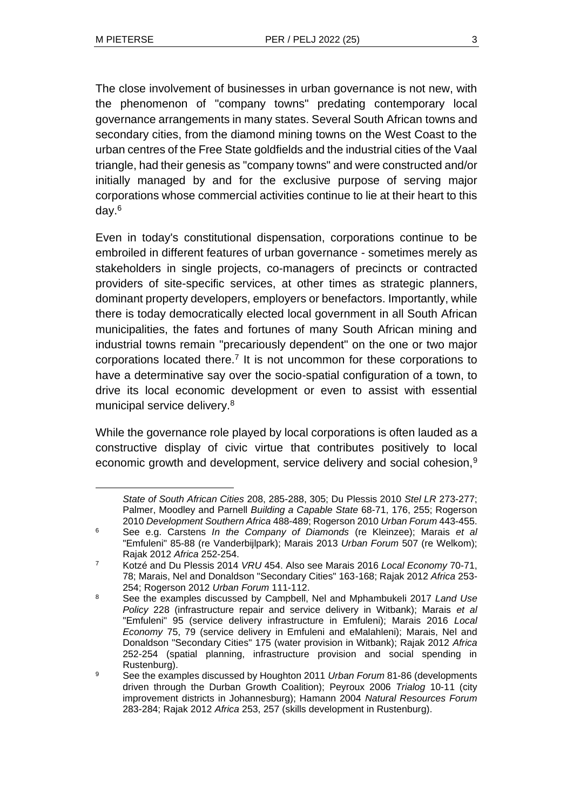The close involvement of businesses in urban governance is not new, with the phenomenon of "company towns" predating contemporary local governance arrangements in many states. Several South African towns and secondary cities, from the diamond mining towns on the West Coast to the urban centres of the Free State goldfields and the industrial cities of the Vaal triangle, had their genesis as "company towns" and were constructed and/or initially managed by and for the exclusive purpose of serving major corporations whose commercial activities continue to lie at their heart to this day.<sup>6</sup>

Even in today's constitutional dispensation, corporations continue to be embroiled in different features of urban governance - sometimes merely as stakeholders in single projects, co-managers of precincts or contracted providers of site-specific services, at other times as strategic planners, dominant property developers, employers or benefactors. Importantly, while there is today democratically elected local government in all South African municipalities, the fates and fortunes of many South African mining and industrial towns remain "precariously dependent" on the one or two major corporations located there.<sup>7</sup> It is not uncommon for these corporations to have a determinative say over the socio-spatial configuration of a town, to drive its local economic development or even to assist with essential municipal service delivery.<sup>8</sup>

While the governance role played by local corporations is often lauded as a constructive display of civic virtue that contributes positively to local economic growth and development, service delivery and social cohesion,<sup>9</sup>

*State of South African Cities* 208, 285-288, 305; Du Plessis 2010 *Stel LR* 273-277; Palmer, Moodley and Parnell *Building a Capable State* 68-71, 176, 255; Rogerson 2010 *Development Southern Africa* 488-489; Rogerson 2010 *Urban Forum* 443-455.

<sup>6</sup> See e.g. Carstens *In the Company of Diamonds* (re Kleinzee); Marais *et al* "Emfuleni" 85-88 (re Vanderbijlpark); Marais 2013 *Urban Forum* 507 (re Welkom); Rajak 2012 *Africa* 252-254.

<sup>7</sup> Kotzé and Du Plessis 2014 *VRU* 454. Also see Marais 2016 *Local Economy* 70-71, 78; Marais, Nel and Donaldson "Secondary Cities" 163-168; Rajak 2012 *Africa* 253- 254; Rogerson 2012 *Urban Forum* 111-112.

<sup>8</sup> See the examples discussed by Campbell, Nel and Mphambukeli 2017 *Land Use Policy* 228 (infrastructure repair and service delivery in Witbank); Marais *et al* "Emfuleni" 95 (service delivery infrastructure in Emfuleni); Marais 2016 *Local Economy* 75, 79 (service delivery in Emfuleni and eMalahleni); Marais, Nel and Donaldson "Secondary Cities" 175 (water provision in Witbank); Rajak 2012 *Africa* 252-254 (spatial planning, infrastructure provision and social spending in Rustenburg).

<sup>9</sup> See the examples discussed by Houghton 2011 *Urban Forum* 81-86 (developments driven through the Durban Growth Coalition); Peyroux 2006 *Trialog* 10-11 (city improvement districts in Johannesburg); Hamann 2004 *Natural Resources Forum* 283-284; Rajak 2012 *Africa* 253, 257 (skills development in Rustenburg).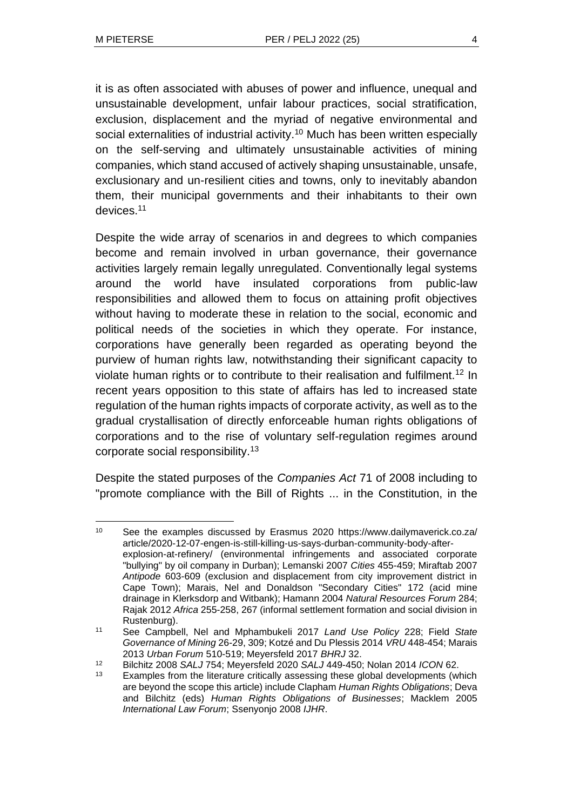it is as often associated with abuses of power and influence, unequal and unsustainable development, unfair labour practices, social stratification, exclusion, displacement and the myriad of negative environmental and social externalities of industrial activity.<sup>10</sup> Much has been written especially on the self-serving and ultimately unsustainable activities of mining companies, which stand accused of actively shaping unsustainable, unsafe, exclusionary and un-resilient cities and towns, only to inevitably abandon them, their municipal governments and their inhabitants to their own devices.<sup>11</sup>

Despite the wide array of scenarios in and degrees to which companies become and remain involved in urban governance, their governance activities largely remain legally unregulated. Conventionally legal systems around the world have insulated corporations from public-law responsibilities and allowed them to focus on attaining profit objectives without having to moderate these in relation to the social, economic and political needs of the societies in which they operate. For instance, corporations have generally been regarded as operating beyond the purview of human rights law, notwithstanding their significant capacity to violate human rights or to contribute to their realisation and fulfilment.<sup>12</sup> In recent years opposition to this state of affairs has led to increased state regulation of the human rights impacts of corporate activity, as well as to the gradual crystallisation of directly enforceable human rights obligations of corporations and to the rise of voluntary self-regulation regimes around corporate social responsibility.<sup>13</sup>

Despite the stated purposes of the *Companies Act* 71 of 2008 including to "promote compliance with the Bill of Rights ... in the Constitution, in the

<sup>10</sup> See the examples discussed by Erasmus 2020 https://www.dailymaverick.co.za/ article/2020-12-07-engen-is-still-killing-us-says-durban-community-body-afterexplosion-at-refinery/ (environmental infringements and associated corporate "bullying" by oil company in Durban); Lemanski 2007 *Cities* 455-459; Miraftab 2007 *Antipode* 603-609 (exclusion and displacement from city improvement district in Cape Town); Marais, Nel and Donaldson "Secondary Cities" 172 (acid mine drainage in Klerksdorp and Witbank); Hamann 2004 *Natural Resources Forum* 284; Rajak 2012 *Africa* 255-258, 267 (informal settlement formation and social division in Rustenburg).

<sup>11</sup> See Campbell, Nel and Mphambukeli 2017 *Land Use Policy* 228; Field *State Governance of Mining* 26-29, 309; Kotzé and Du Plessis 2014 *VRU* 448-454; Marais 2013 *Urban Forum* 510-519; Meyersfeld 2017 *BHRJ* 32.

<sup>12</sup> Bilchitz 2008 *SALJ* 754; Meyersfeld 2020 *SALJ* 449-450; Nolan 2014 *ICON* 62.

<sup>&</sup>lt;sup>13</sup> Examples from the literature critically assessing these global developments (which are beyond the scope this article) include Clapham *Human Rights Obligations*; Deva and Bilchitz (eds) *Human Rights Obligations of Businesses*; Macklem 2005 *International Law Forum*; Ssenyonjo 2008 *IJHR*.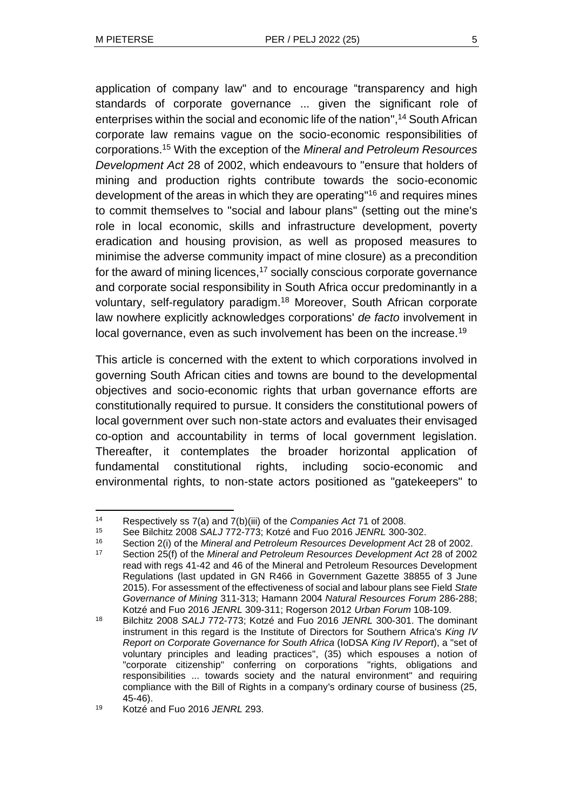application of company law" and to encourage "transparency and high standards of corporate governance ... given the significant role of enterprises within the social and economic life of the nation", <sup>14</sup> South African corporate law remains vague on the socio-economic responsibilities of corporations.<sup>15</sup> With the exception of the *Mineral and Petroleum Resources Development Act* 28 of 2002, which endeavours to "ensure that holders of mining and production rights contribute towards the socio-economic development of the areas in which they are operating" <sup>16</sup> and requires mines to commit themselves to "social and labour plans" (setting out the mine's role in local economic, skills and infrastructure development, poverty eradication and housing provision, as well as proposed measures to minimise the adverse community impact of mine closure) as a precondition for the award of mining licences, $17$  socially conscious corporate governance and corporate social responsibility in South Africa occur predominantly in a voluntary, self-regulatory paradigm.<sup>18</sup> Moreover, South African corporate law nowhere explicitly acknowledges corporations' *de facto* involvement in local governance, even as such involvement has been on the increase.<sup>19</sup>

This article is concerned with the extent to which corporations involved in governing South African cities and towns are bound to the developmental objectives and socio-economic rights that urban governance efforts are constitutionally required to pursue. It considers the constitutional powers of local government over such non-state actors and evaluates their envisaged co-option and accountability in terms of local government legislation. Thereafter, it contemplates the broader horizontal application of fundamental constitutional rights, including socio-economic and environmental rights, to non-state actors positioned as "gatekeepers" to

<sup>14</sup> Respectively ss 7(a) and 7(b)(iii) of the *Companies Act* 71 of 2008.

<sup>15</sup> See Bilchitz 2008 *SALJ* 772-773; Kotzé and Fuo 2016 *JENRL* 300-302.

<sup>16</sup> Section 2(i) of the *Mineral and Petroleum Resources Development Act* 28 of 2002.

<sup>17</sup> Section 25(f) of the *Mineral and Petroleum Resources Development Act* 28 of 2002 read with regs 41-42 and 46 of the Mineral and Petroleum Resources Development Regulations (last updated in GN R466 in Government Gazette 38855 of 3 June 2015). For assessment of the effectiveness of social and labour plans see Field *State Governance of Mining* 311-313; Hamann 2004 *Natural Resources Forum* 286-288; Kotzé and Fuo 2016 *JENRL* 309-311; Rogerson 2012 *Urban Forum* 108-109.

<sup>18</sup> Bilchitz 2008 *SALJ* 772-773; Kotzé and Fuo 2016 *JENRL* 300-301. The dominant instrument in this regard is the Institute of Directors for Southern Africa's *King IV Report on Corporate Governance for South Africa* (IoDSA *King IV Report*), a "set of voluntary principles and leading practices", (35) which espouses a notion of "corporate citizenship" conferring on corporations "rights, obligations and responsibilities ... towards society and the natural environment" and requiring compliance with the Bill of Rights in a company's ordinary course of business (25, 45-46).

<sup>19</sup> Kotzé and Fuo 2016 *JENRL* 293.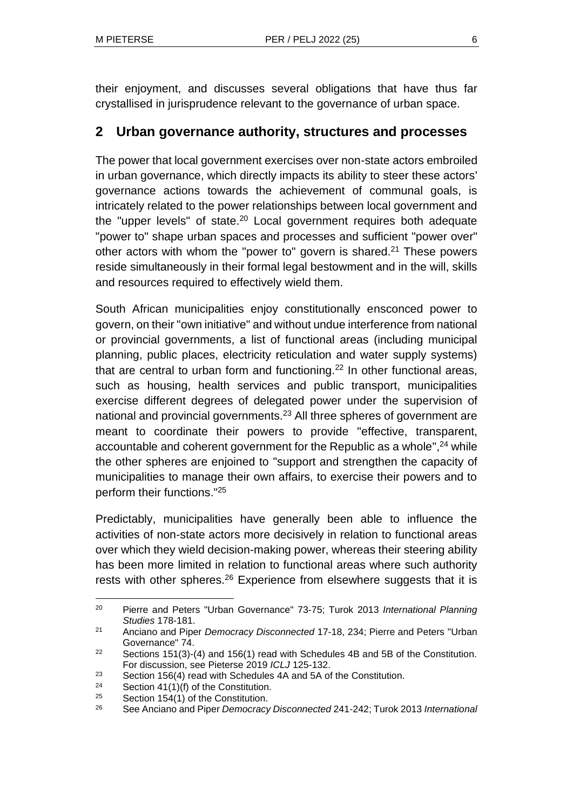their enjoyment, and discusses several obligations that have thus far crystallised in jurisprudence relevant to the governance of urban space.

# **2 Urban governance authority, structures and processes**

The power that local government exercises over non-state actors embroiled in urban governance, which directly impacts its ability to steer these actors' governance actions towards the achievement of communal goals, is intricately related to the power relationships between local government and the "upper levels" of state.<sup>20</sup> Local government requires both adequate "power to" shape urban spaces and processes and sufficient "power over" other actors with whom the "power to" govern is shared.<sup>21</sup> These powers reside simultaneously in their formal legal bestowment and in the will, skills and resources required to effectively wield them.

South African municipalities enjoy constitutionally ensconced power to govern, on their "own initiative" and without undue interference from national or provincial governments, a list of functional areas (including municipal planning, public places, electricity reticulation and water supply systems) that are central to urban form and functioning.<sup>22</sup> In other functional areas, such as housing, health services and public transport, municipalities exercise different degrees of delegated power under the supervision of national and provincial governments.<sup>23</sup> All three spheres of government are meant to coordinate their powers to provide "effective, transparent, accountable and coherent government for the Republic as a whole",<sup>24</sup> while the other spheres are enjoined to "support and strengthen the capacity of municipalities to manage their own affairs, to exercise their powers and to perform their functions."<sup>25</sup>

Predictably, municipalities have generally been able to influence the activities of non-state actors more decisively in relation to functional areas over which they wield decision-making power, whereas their steering ability has been more limited in relation to functional areas where such authority rests with other spheres.<sup>26</sup> Experience from elsewhere suggests that it is

<sup>20</sup> Pierre and Peters "Urban Governance" 73-75; Turok 2013 *International Planning Studies* 178-181.

<sup>21</sup> Anciano and Piper *Democracy Disconnected* 17-18, 234; Pierre and Peters "Urban Governance" 74.

<sup>&</sup>lt;sup>22</sup> Sections 151(3)-(4) and 156(1) read with Schedules 4B and 5B of the Constitution. For discussion, see Pieterse 2019 *ICLJ* 125-132.

 $23$  Section 156(4) read with Schedules 4A and 5A of the Constitution.

 $24$  Section 41(1)(f) of the Constitution.

<sup>&</sup>lt;sup>25</sup> Section 154(1) of the Constitution.<br><sup>26</sup> See Anciano and Piper Democracy

<sup>26</sup> See Anciano and Piper *Democracy Disconnected* 241-242; Turok 2013 *International*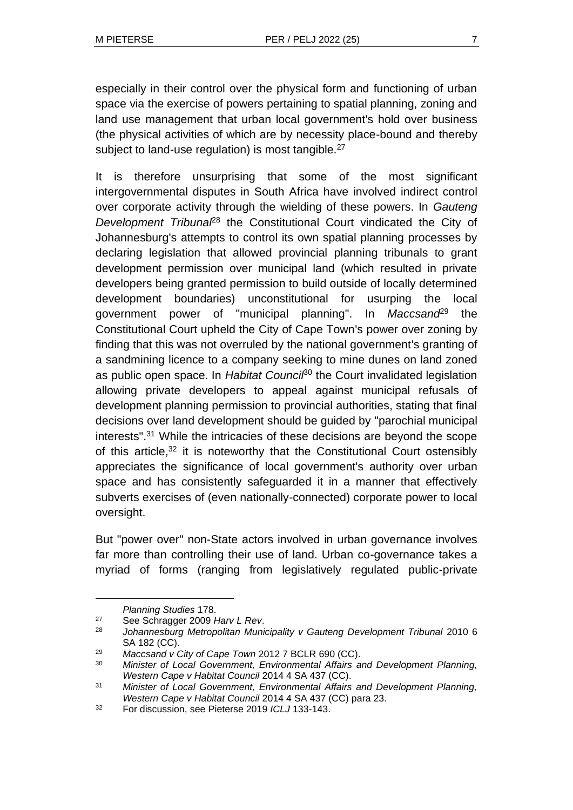especially in their control over the physical form and functioning of urban space via the exercise of powers pertaining to spatial planning, zoning and land use management that urban local government's hold over business (the physical activities of which are by necessity place-bound and thereby subject to land-use regulation) is most tangible.<sup>27</sup>

It is therefore unsurprising that some of the most significant intergovernmental disputes in South Africa have involved indirect control over corporate activity through the wielding of these powers. In *Gauteng Development Tribunal*<sup>28</sup> the Constitutional Court vindicated the City of Johannesburg's attempts to control its own spatial planning processes by declaring legislation that allowed provincial planning tribunals to grant development permission over municipal land (which resulted in private developers being granted permission to build outside of locally determined development boundaries) unconstitutional for usurping the local government power of "municipal planning". In *Maccsand*<sup>29</sup> the Constitutional Court upheld the City of Cape Town's power over zoning by finding that this was not overruled by the national government's granting of a sandmining licence to a company seeking to mine dunes on land zoned as public open space. In *Habitat Council*<sup>30</sup> the Court invalidated legislation allowing private developers to appeal against municipal refusals of development planning permission to provincial authorities, stating that final decisions over land development should be guided by "parochial municipal interests". <sup>31</sup> While the intricacies of these decisions are beyond the scope of this article,<sup>32</sup> it is noteworthy that the Constitutional Court ostensibly appreciates the significance of local government's authority over urban space and has consistently safeguarded it in a manner that effectively subverts exercises of (even nationally-connected) corporate power to local oversight.

But "power over" non-State actors involved in urban governance involves far more than controlling their use of land. Urban co-governance takes a myriad of forms (ranging from legislatively regulated public-private

*Planning Studies* 178.

<sup>27</sup> See Schragger 2009 *Harv L Rev*.

<sup>28</sup> *Johannesburg Metropolitan Municipality v Gauteng Development Tribunal* 2010 6 SA 182 (CC).

<sup>29</sup> *Maccsand v City of Cape Town* 2012 7 BCLR 690 (CC).

<sup>30</sup> *Minister of Local Government, Environmental Affairs and Development Planning, Western Cape v Habitat Council* 2014 4 SA 437 (CC).

<sup>31</sup> *Minister of Local Government, Environmental Affairs and Development Planning, Western Cape v Habitat Council* 2014 4 SA 437 (CC) para 23.

<sup>32</sup> For discussion, see Pieterse 2019 *ICLJ* 133-143.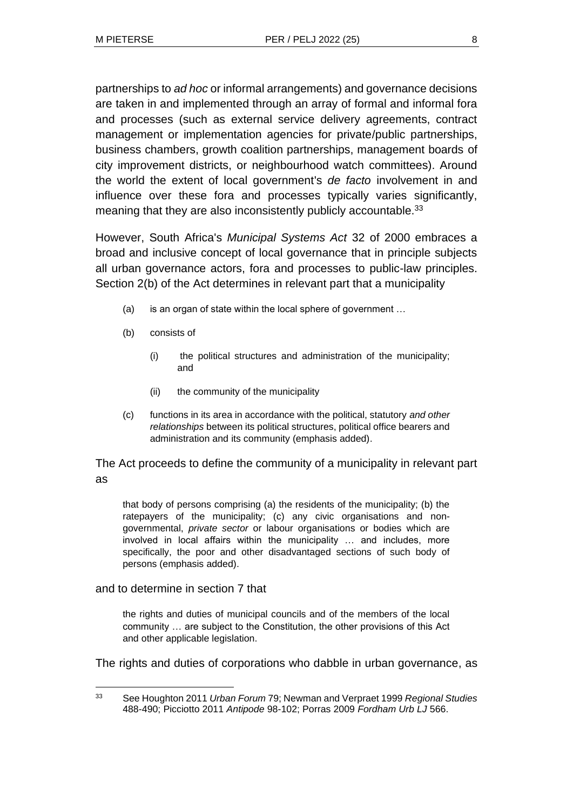partnerships to *ad hoc* or informal arrangements) and governance decisions are taken in and implemented through an array of formal and informal fora and processes (such as external service delivery agreements, contract management or implementation agencies for private/public partnerships, business chambers, growth coalition partnerships, management boards of city improvement districts, or neighbourhood watch committees). Around the world the extent of local government's *de facto* involvement in and influence over these fora and processes typically varies significantly, meaning that they are also inconsistently publicly accountable.<sup>33</sup>

However, South Africa's *Municipal Systems Act* 32 of 2000 embraces a broad and inclusive concept of local governance that in principle subjects all urban governance actors, fora and processes to public-law principles. Section 2(b) of the Act determines in relevant part that a municipality

- (a) is an organ of state within the local sphere of government …
- (b) consists of
	- (i) the political structures and administration of the municipality; and
	- (ii) the community of the municipality
- (c) functions in its area in accordance with the political, statutory *and other relationships* between its political structures, political office bearers and administration and its community (emphasis added).

The Act proceeds to define the community of a municipality in relevant part as

that body of persons comprising (a) the residents of the municipality; (b) the ratepayers of the municipality; (c) any civic organisations and nongovernmental, *private sector* or labour organisations or bodies which are involved in local affairs within the municipality … and includes, more specifically, the poor and other disadvantaged sections of such body of persons (emphasis added).

#### and to determine in section 7 that

the rights and duties of municipal councils and of the members of the local community … are subject to the Constitution, the other provisions of this Act and other applicable legislation.

The rights and duties of corporations who dabble in urban governance, as

<sup>33</sup> See Houghton 2011 *Urban Forum* 79; Newman and Verpraet 1999 *Regional Studies* 488-490; Picciotto 2011 *Antipode* 98-102; Porras 2009 *Fordham Urb LJ* 566.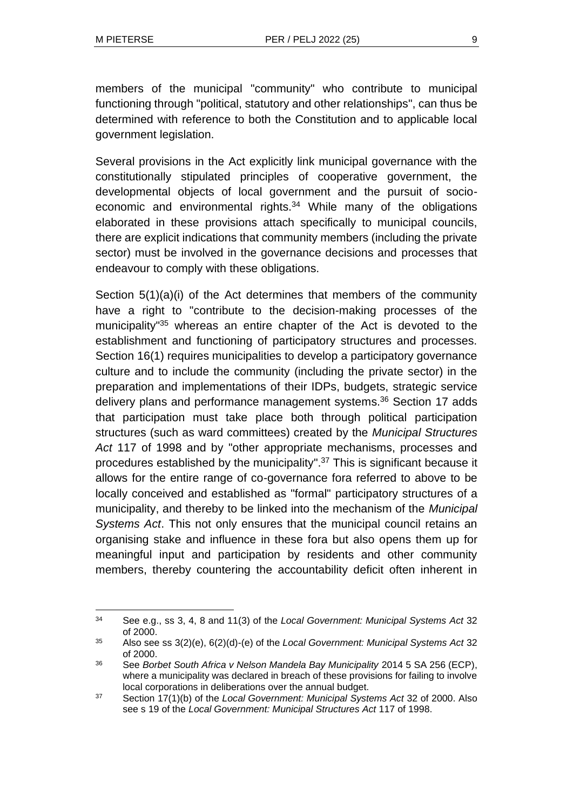members of the municipal "community" who contribute to municipal functioning through "political, statutory and other relationships", can thus be determined with reference to both the Constitution and to applicable local government legislation.

Several provisions in the Act explicitly link municipal governance with the constitutionally stipulated principles of cooperative government, the developmental objects of local government and the pursuit of socioeconomic and environmental rights.<sup>34</sup> While many of the obligations elaborated in these provisions attach specifically to municipal councils, there are explicit indications that community members (including the private sector) must be involved in the governance decisions and processes that endeavour to comply with these obligations.

Section 5(1)(a)(i) of the Act determines that members of the community have a right to "contribute to the decision-making processes of the municipality<sup>"35</sup> whereas an entire chapter of the Act is devoted to the establishment and functioning of participatory structures and processes. Section 16(1) requires municipalities to develop a participatory governance culture and to include the community (including the private sector) in the preparation and implementations of their IDPs, budgets, strategic service delivery plans and performance management systems. <sup>36</sup> Section 17 adds that participation must take place both through political participation structures (such as ward committees) created by the *Municipal Structures Act* 117 of 1998 and by "other appropriate mechanisms, processes and procedures established by the municipality". <sup>37</sup> This is significant because it allows for the entire range of co-governance fora referred to above to be locally conceived and established as "formal" participatory structures of a municipality, and thereby to be linked into the mechanism of the *Municipal Systems Act*. This not only ensures that the municipal council retains an organising stake and influence in these fora but also opens them up for meaningful input and participation by residents and other community members, thereby countering the accountability deficit often inherent in

<sup>34</sup> See e.g., ss 3, 4, 8 and 11(3) of the *Local Government: Municipal Systems Act* 32 of 2000.

<sup>35</sup> Also see ss 3(2)(e), 6(2)(d)-(e) of the *Local Government: Municipal Systems Act* 32 of 2000.

<sup>36</sup> See *Borbet South Africa v Nelson Mandela Bay Municipality* 2014 5 SA 256 (ECP), where a municipality was declared in breach of these provisions for failing to involve local corporations in deliberations over the annual budget.

<sup>37</sup> Section 17(1)(b) of the *Local Government: Municipal Systems Act* 32 of 2000. Also see s 19 of the *Local Government: Municipal Structures Act* 117 of 1998.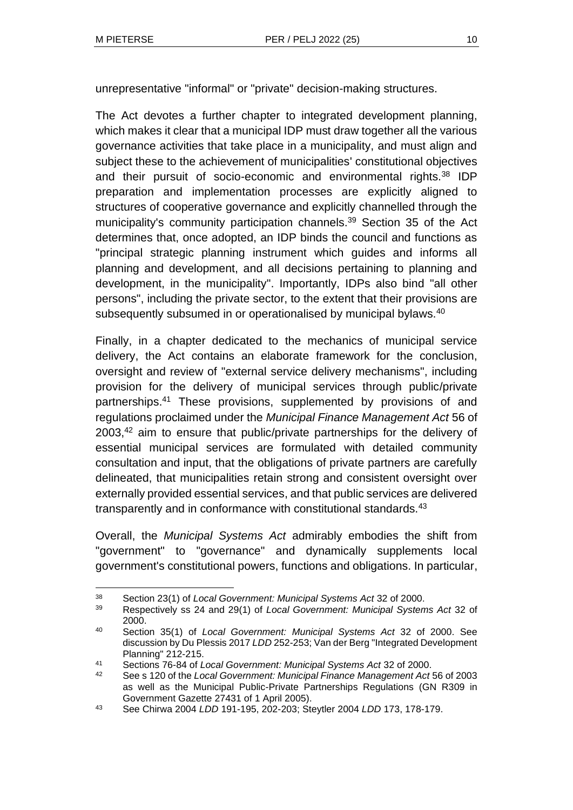unrepresentative "informal" or "private" decision-making structures.

The Act devotes a further chapter to integrated development planning, which makes it clear that a municipal IDP must draw together all the various governance activities that take place in a municipality, and must align and subject these to the achievement of municipalities' constitutional objectives and their pursuit of socio-economic and environmental rights.<sup>38</sup> IDP preparation and implementation processes are explicitly aligned to structures of cooperative governance and explicitly channelled through the municipality's community participation channels.<sup>39</sup> Section 35 of the Act determines that, once adopted, an IDP binds the council and functions as "principal strategic planning instrument which guides and informs all planning and development, and all decisions pertaining to planning and development, in the municipality". Importantly, IDPs also bind "all other persons", including the private sector, to the extent that their provisions are subsequently subsumed in or operationalised by municipal bylaws.<sup>40</sup>

Finally, in a chapter dedicated to the mechanics of municipal service delivery, the Act contains an elaborate framework for the conclusion, oversight and review of "external service delivery mechanisms", including provision for the delivery of municipal services through public/private partnerships.<sup>41</sup> These provisions, supplemented by provisions of and regulations proclaimed under the *Municipal Finance Management Act* 56 of 2003,<sup>42</sup> aim to ensure that public/private partnerships for the delivery of essential municipal services are formulated with detailed community consultation and input, that the obligations of private partners are carefully delineated, that municipalities retain strong and consistent oversight over externally provided essential services, and that public services are delivered transparently and in conformance with constitutional standards.<sup>43</sup>

Overall, the *Municipal Systems Act* admirably embodies the shift from "government" to "governance" and dynamically supplements local government's constitutional powers, functions and obligations. In particular,

<sup>38</sup> Section 23(1) of *Local Government: Municipal Systems Act* 32 of 2000.

<sup>39</sup> Respectively ss 24 and 29(1) of *Local Government: Municipal Systems Act* 32 of 2000.

<sup>40</sup> Section 35(1) of *Local Government: Municipal Systems Act* 32 of 2000. See discussion by Du Plessis 2017 *LDD* 252-253; Van der Berg "Integrated Development Planning" 212-215.

<sup>41</sup> Sections 76-84 of *Local Government: Municipal Systems Act* 32 of 2000.

<sup>42</sup> See s 120 of the *Local Government: Municipal Finance Management Act* 56 of 2003 as well as the Municipal Public-Private Partnerships Regulations (GN R309 in Government Gazette 27431 of 1 April 2005).

<sup>43</sup> See Chirwa 2004 *LDD* 191-195, 202-203; Steytler 2004 *LDD* 173, 178-179.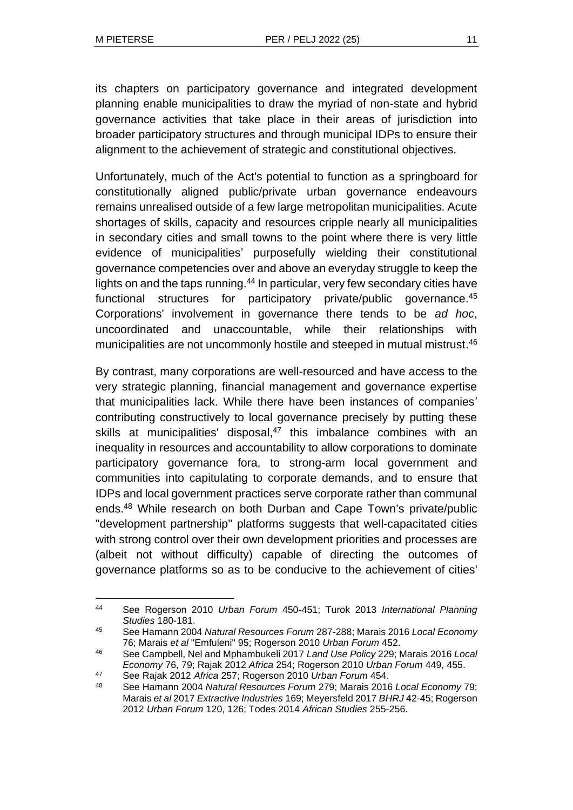its chapters on participatory governance and integrated development planning enable municipalities to draw the myriad of non-state and hybrid governance activities that take place in their areas of jurisdiction into broader participatory structures and through municipal IDPs to ensure their alignment to the achievement of strategic and constitutional objectives.

Unfortunately, much of the Act's potential to function as a springboard for constitutionally aligned public/private urban governance endeavours remains unrealised outside of a few large metropolitan municipalities. Acute shortages of skills, capacity and resources cripple nearly all municipalities in secondary cities and small towns to the point where there is very little evidence of municipalities' purposefully wielding their constitutional governance competencies over and above an everyday struggle to keep the lights on and the taps running.<sup>44</sup> In particular, very few secondary cities have functional structures for participatory private/public governance.<sup>45</sup> Corporations' involvement in governance there tends to be *ad hoc*, uncoordinated and unaccountable, while their relationships with municipalities are not uncommonly hostile and steeped in mutual mistrust.<sup>46</sup>

By contrast, many corporations are well-resourced and have access to the very strategic planning, financial management and governance expertise that municipalities lack. While there have been instances of companies' contributing constructively to local governance precisely by putting these skills at municipalities' disposal, $47$  this imbalance combines with an inequality in resources and accountability to allow corporations to dominate participatory governance fora, to strong-arm local government and communities into capitulating to corporate demands, and to ensure that IDPs and local government practices serve corporate rather than communal ends.<sup>48</sup> While research on both Durban and Cape Town's private/public "development partnership" platforms suggests that well-capacitated cities with strong control over their own development priorities and processes are (albeit not without difficulty) capable of directing the outcomes of governance platforms so as to be conducive to the achievement of cities'

<sup>44</sup> See Rogerson 2010 *Urban Forum* 450-451; Turok 2013 *International Planning Studies* 180-181.

<sup>45</sup> See Hamann 2004 *Natural Resources Forum* 287-288; Marais 2016 *Local Economy* 76; Marais *et al* "Emfuleni" 95; Rogerson 2010 *Urban Forum* 452.

<sup>46</sup> See Campbell, Nel and Mphambukeli 2017 *Land Use Policy* 229; Marais 2016 *Local Economy* 76, 79; Rajak 2012 *Africa* 254; Rogerson 2010 *Urban Forum* 449, 455.

<sup>47</sup> See Rajak 2012 *Africa* 257; Rogerson 2010 *Urban Forum* 454.

<sup>48</sup> See Hamann 2004 *Natural Resources Forum* 279; Marais 2016 *Local Economy* 79; Marais *et al* 2017 *Extractive Industries* 169; Meyersfeld 2017 *BHRJ* 42-45; Rogerson 2012 *Urban Forum* 120, 126; Todes 2014 *African Studies* 255-256.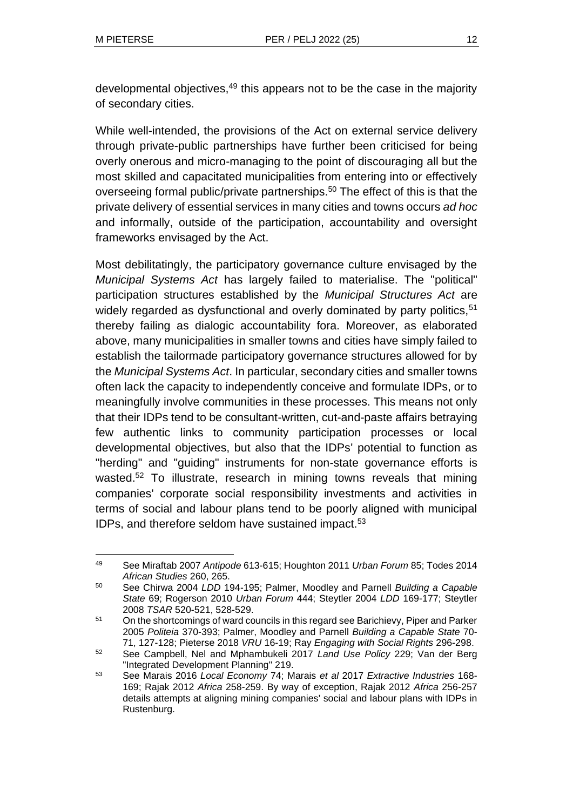developmental objectives,<sup>49</sup> this appears not to be the case in the majority of secondary cities.

While well-intended, the provisions of the Act on external service delivery through private-public partnerships have further been criticised for being overly onerous and micro-managing to the point of discouraging all but the most skilled and capacitated municipalities from entering into or effectively overseeing formal public/private partnerships.<sup>50</sup> The effect of this is that the private delivery of essential services in many cities and towns occurs *ad hoc* and informally, outside of the participation, accountability and oversight frameworks envisaged by the Act.

Most debilitatingly, the participatory governance culture envisaged by the *Municipal Systems Act* has largely failed to materialise. The "political" participation structures established by the *Municipal Structures Act* are widely regarded as dysfunctional and overly dominated by party politics.<sup>51</sup> thereby failing as dialogic accountability fora. Moreover, as elaborated above, many municipalities in smaller towns and cities have simply failed to establish the tailormade participatory governance structures allowed for by the *Municipal Systems Act*. In particular, secondary cities and smaller towns often lack the capacity to independently conceive and formulate IDPs, or to meaningfully involve communities in these processes. This means not only that their IDPs tend to be consultant-written, cut-and-paste affairs betraying few authentic links to community participation processes or local developmental objectives, but also that the IDPs' potential to function as "herding" and "guiding" instruments for non-state governance efforts is wasted.<sup>52</sup> To illustrate, research in mining towns reveals that mining companies' corporate social responsibility investments and activities in terms of social and labour plans tend to be poorly aligned with municipal IDPs, and therefore seldom have sustained impact.<sup>53</sup>

<sup>49</sup> See Miraftab 2007 *Antipode* 613-615; Houghton 2011 *Urban Forum* 85; Todes 2014 *African Studies* 260, 265.

<sup>50</sup> See Chirwa 2004 *LDD* 194-195; Palmer, Moodley and Parnell *Building a Capable State* 69; Rogerson 2010 *Urban Forum* 444; Steytler 2004 *LDD* 169-177; Steytler 2008 *TSAR* 520-521, 528-529.

<sup>51</sup> On the shortcomings of ward councils in this regard see Barichievy, Piper and Parker 2005 *Politeia* 370-393; Palmer, Moodley and Parnell *Building a Capable State* 70- 71, 127-128; Pieterse 2018 *VRU* 16-19; Ray *Engaging with Social Rights* 296-298.

<sup>52</sup> See Campbell, Nel and Mphambukeli 2017 *Land Use Policy* 229; Van der Berg "Integrated Development Planning" 219.

<sup>53</sup> See Marais 2016 *Local Economy* 74; Marais *et al* 2017 *Extractive Industries* 168- 169; Rajak 2012 *Africa* 258-259. By way of exception, Rajak 2012 *Africa* 256-257 details attempts at aligning mining companies' social and labour plans with IDPs in Rustenburg.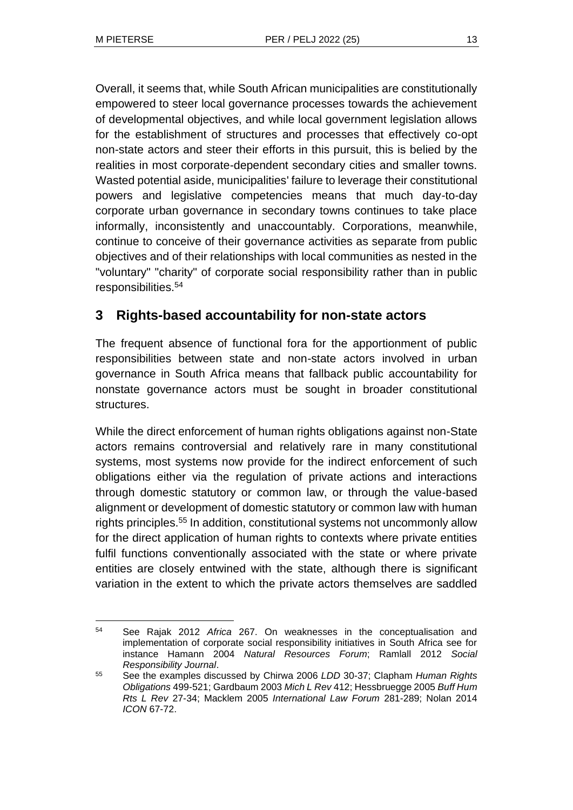Overall, it seems that, while South African municipalities are constitutionally empowered to steer local governance processes towards the achievement of developmental objectives, and while local government legislation allows for the establishment of structures and processes that effectively co-opt non-state actors and steer their efforts in this pursuit, this is belied by the realities in most corporate-dependent secondary cities and smaller towns. Wasted potential aside, municipalities' failure to leverage their constitutional powers and legislative competencies means that much day-to-day corporate urban governance in secondary towns continues to take place informally, inconsistently and unaccountably. Corporations, meanwhile, continue to conceive of their governance activities as separate from public objectives and of their relationships with local communities as nested in the "voluntary" "charity" of corporate social responsibility rather than in public responsibilities.<sup>54</sup>

# **3 Rights-based accountability for non-state actors**

The frequent absence of functional fora for the apportionment of public responsibilities between state and non-state actors involved in urban governance in South Africa means that fallback public accountability for nonstate governance actors must be sought in broader constitutional structures.

While the direct enforcement of human rights obligations against non-State actors remains controversial and relatively rare in many constitutional systems, most systems now provide for the indirect enforcement of such obligations either via the regulation of private actions and interactions through domestic statutory or common law, or through the value-based alignment or development of domestic statutory or common law with human rights principles.<sup>55</sup> In addition, constitutional systems not uncommonly allow for the direct application of human rights to contexts where private entities fulfil functions conventionally associated with the state or where private entities are closely entwined with the state, although there is significant variation in the extent to which the private actors themselves are saddled

<sup>54</sup> See Rajak 2012 *Africa* 267. On weaknesses in the conceptualisation and implementation of corporate social responsibility initiatives in South Africa see for instance Hamann 2004 *Natural Resources Forum*; Ramlall 2012 *Social Responsibility Journal*.

<sup>55</sup> See the examples discussed by Chirwa 2006 *LDD* 30-37; Clapham *Human Rights Obligations* 499-521; Gardbaum 2003 *Mich L Rev* 412; Hessbruegge 2005 *Buff Hum Rts L Rev* 27-34; Macklem 2005 *International Law Forum* 281-289; Nolan 2014 *ICON* 67-72.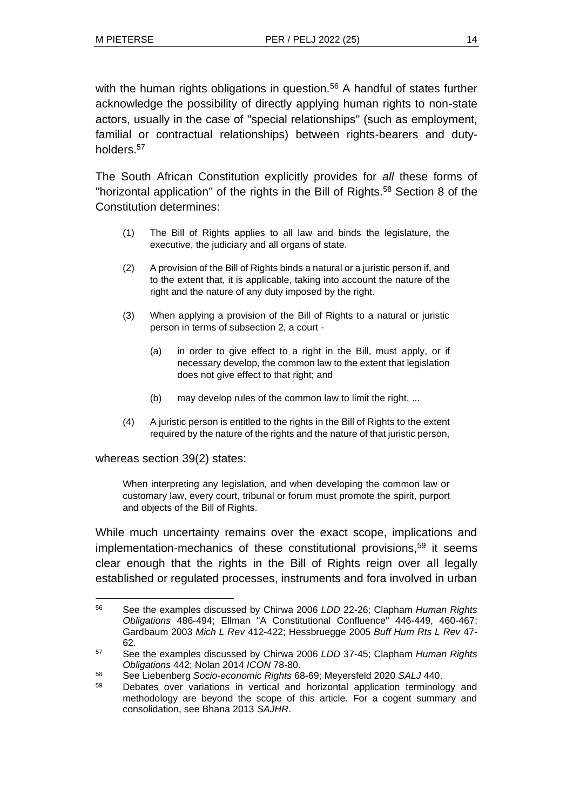with the human rights obligations in question.<sup>56</sup> A handful of states further acknowledge the possibility of directly applying human rights to non-state actors, usually in the case of "special relationships" (such as employment, familial or contractual relationships) between rights-bearers and dutyholders.<sup>57</sup>

The South African Constitution explicitly provides for *all* these forms of "horizontal application" of the rights in the Bill of Rights.<sup>58</sup> Section 8 of the Constitution determines:

- (1) The Bill of Rights applies to all law and binds the legislature, the executive, the judiciary and all organs of state.
- (2) A provision of the Bill of Rights binds a natural or a juristic person if, and to the extent that, it is applicable, taking into account the nature of the right and the nature of any duty imposed by the right.
- (3) When applying a provision of the Bill of Rights to a natural or juristic person in terms of subsection 2, a court -
	- (a) in order to give effect to a right in the Bill, must apply, or if necessary develop, the common law to the extent that legislation does not give effect to that right; and
	- (b) may develop rules of the common law to limit the right, ...
- (4) A juristic person is entitled to the rights in the Bill of Rights to the extent required by the nature of the rights and the nature of that juristic person,

whereas section 39(2) states:

When interpreting any legislation, and when developing the common law or customary law, every court, tribunal or forum must promote the spirit, purport and objects of the Bill of Rights.

While much uncertainty remains over the exact scope, implications and implementation-mechanics of these constitutional provisions,<sup>59</sup> it seems clear enough that the rights in the Bill of Rights reign over all legally established or regulated processes, instruments and fora involved in urban

<sup>56</sup> See the examples discussed by Chirwa 2006 *LDD* 22-26; Clapham *Human Rights Obligations* 486-494; Ellman "A Constitutional Confluence" 446-449, 460-467; Gardbaum 2003 *Mich L Rev* 412-422; Hessbruegge 2005 *Buff Hum Rts L Rev* 47- 62.

<sup>57</sup> See the examples discussed by Chirwa 2006 *LDD* 37-45; Clapham *Human Rights Obligations* 442; Nolan 2014 *ICON* 78-80.

<sup>58</sup> See Liebenberg *Socio-economic Rights* 68-69; Meyersfeld 2020 *SALJ* 440.

<sup>59</sup> Debates over variations in vertical and horizontal application terminology and methodology are beyond the scope of this article. For a cogent summary and consolidation, see Bhana 2013 *SAJHR*.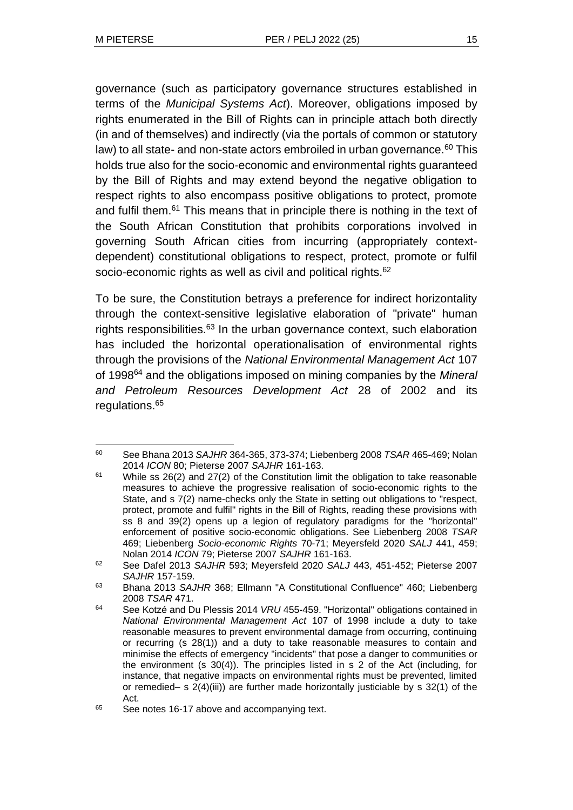governance (such as participatory governance structures established in terms of the *Municipal Systems Act*). Moreover, obligations imposed by rights enumerated in the Bill of Rights can in principle attach both directly (in and of themselves) and indirectly (via the portals of common or statutory law) to all state- and non-state actors embroiled in urban governance.<sup>60</sup> This holds true also for the socio-economic and environmental rights quaranteed by the Bill of Rights and may extend beyond the negative obligation to respect rights to also encompass positive obligations to protect, promote and fulfil them.<sup>61</sup> This means that in principle there is nothing in the text of the South African Constitution that prohibits corporations involved in governing South African cities from incurring (appropriately contextdependent) constitutional obligations to respect, protect, promote or fulfil socio-economic rights as well as civil and political rights.<sup>62</sup>

To be sure, the Constitution betrays a preference for indirect horizontality through the context-sensitive legislative elaboration of "private" human rights responsibilities.<sup>63</sup> In the urban governance context, such elaboration has included the horizontal operationalisation of environmental rights through the provisions of the *National Environmental Management Act* 107 of 1998<sup>64</sup> and the obligations imposed on mining companies by the *Mineral and Petroleum Resources Development Act* 28 of 2002 and its regulations.<sup>65</sup>

<sup>60</sup> See Bhana 2013 *SAJHR* 364-365, 373-374; Liebenberg 2008 *TSAR* 465-469; Nolan 2014 *ICON* 80; Pieterse 2007 *SAJHR* 161-163.

 $61$  While ss 26(2) and 27(2) of the Constitution limit the obligation to take reasonable measures to achieve the progressive realisation of socio-economic rights to the State, and s 7(2) name-checks only the State in setting out obligations to "respect, protect, promote and fulfil" rights in the Bill of Rights, reading these provisions with ss 8 and 39(2) opens up a legion of regulatory paradigms for the "horizontal" enforcement of positive socio-economic obligations. See Liebenberg 2008 *TSAR* 469; Liebenberg *Socio-economic Rights* 70-71; Meyersfeld 2020 *SALJ* 441, 459; Nolan 2014 *ICON* 79; Pieterse 2007 *SAJHR* 161-163.

<sup>62</sup> See Dafel 2013 *SAJHR* 593; Meyersfeld 2020 *SALJ* 443, 451-452; Pieterse 2007 *SAJHR* 157-159.

<sup>63</sup> Bhana 2013 *SAJHR* 368; Ellmann "A Constitutional Confluence" 460; Liebenberg 2008 *TSAR* 471.

<sup>64</sup> See Kotzé and Du Plessis 2014 *VRU* 455-459. "Horizontal" obligations contained in *National Environmental Management Act* 107 of 1998 include a duty to take reasonable measures to prevent environmental damage from occurring, continuing or recurring (s 28(1)) and a duty to take reasonable measures to contain and minimise the effects of emergency "incidents" that pose a danger to communities or the environment (s 30(4)). The principles listed in s 2 of the Act (including, for instance, that negative impacts on environmental rights must be prevented, limited or remedied– s 2(4)(iii)) are further made horizontally justiciable by s 32(1) of the Act.

<sup>&</sup>lt;sup>65</sup> See notes 16-17 above and accompanying text.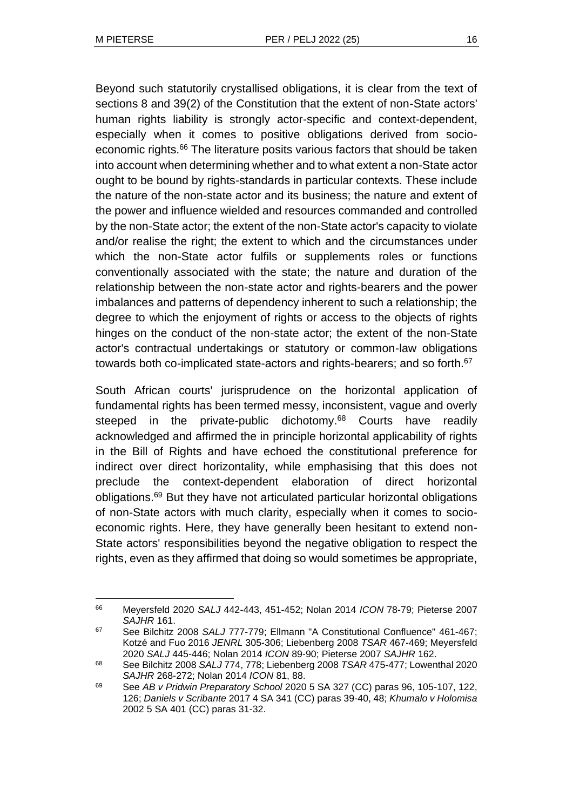Beyond such statutorily crystallised obligations, it is clear from the text of sections 8 and 39(2) of the Constitution that the extent of non-State actors' human rights liability is strongly actor-specific and context-dependent, especially when it comes to positive obligations derived from socioeconomic rights.<sup>66</sup> The literature posits various factors that should be taken into account when determining whether and to what extent a non-State actor ought to be bound by rights-standards in particular contexts. These include the nature of the non-state actor and its business; the nature and extent of the power and influence wielded and resources commanded and controlled by the non-State actor; the extent of the non-State actor's capacity to violate and/or realise the right; the extent to which and the circumstances under which the non-State actor fulfils or supplements roles or functions conventionally associated with the state; the nature and duration of the relationship between the non-state actor and rights-bearers and the power imbalances and patterns of dependency inherent to such a relationship; the degree to which the enjoyment of rights or access to the objects of rights hinges on the conduct of the non-state actor; the extent of the non-State actor's contractual undertakings or statutory or common-law obligations towards both co-implicated state-actors and rights-bearers; and so forth.<sup>67</sup>

South African courts' jurisprudence on the horizontal application of fundamental rights has been termed messy, inconsistent, vague and overly steeped in the private-public dichotomy.<sup>68</sup> Courts have readily acknowledged and affirmed the in principle horizontal applicability of rights in the Bill of Rights and have echoed the constitutional preference for indirect over direct horizontality, while emphasising that this does not preclude the context-dependent elaboration of direct horizontal obligations.<sup>69</sup> But they have not articulated particular horizontal obligations of non-State actors with much clarity, especially when it comes to socioeconomic rights. Here, they have generally been hesitant to extend non-State actors' responsibilities beyond the negative obligation to respect the rights, even as they affirmed that doing so would sometimes be appropriate,

<sup>66</sup> Meyersfeld 2020 *SALJ* 442-443, 451-452; Nolan 2014 *ICON* 78-79; Pieterse 2007 *SAJHR* 161.

<sup>67</sup> See Bilchitz 2008 *SALJ* 777-779; Ellmann "A Constitutional Confluence" 461-467; Kotzé and Fuo 2016 *JENRL* 305-306; Liebenberg 2008 *TSAR* 467-469; Meyersfeld 2020 *SALJ* 445-446; Nolan 2014 *ICON* 89-90; Pieterse 2007 *SAJHR* 162.

<sup>68</sup> See Bilchitz 2008 *SALJ* 774, 778; Liebenberg 2008 *TSAR* 475-477; Lowenthal 2020 *SAJHR* 268-272; Nolan 2014 *ICON* 81, 88.

<sup>69</sup> See *AB v Pridwin Preparatory School* 2020 5 SA 327 (CC) paras 96, 105-107, 122, 126; *Daniels v Scribante* 2017 4 SA 341 (CC) paras 39-40, 48; *Khumalo v Holomisa* 2002 5 SA 401 (CC) paras 31-32.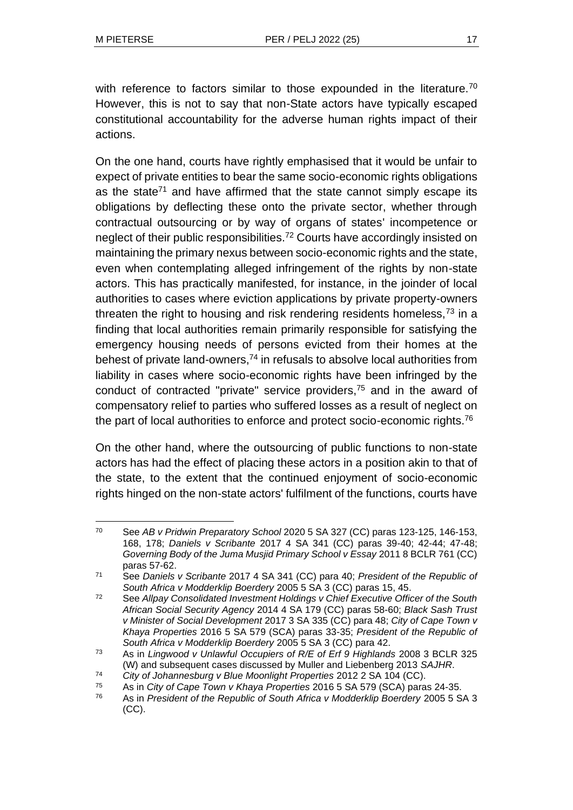with reference to factors similar to those expounded in the literature.<sup>70</sup> However, this is not to say that non-State actors have typically escaped constitutional accountability for the adverse human rights impact of their actions.

On the one hand, courts have rightly emphasised that it would be unfair to expect of private entities to bear the same socio-economic rights obligations as the state<sup>71</sup> and have affirmed that the state cannot simply escape its obligations by deflecting these onto the private sector, whether through contractual outsourcing or by way of organs of states' incompetence or neglect of their public responsibilities.<sup>72</sup> Courts have accordingly insisted on maintaining the primary nexus between socio-economic rights and the state, even when contemplating alleged infringement of the rights by non-state actors. This has practically manifested, for instance, in the joinder of local authorities to cases where eviction applications by private property-owners threaten the right to housing and risk rendering residents homeless,  $73$  in a finding that local authorities remain primarily responsible for satisfying the emergency housing needs of persons evicted from their homes at the behest of private land-owners, $74$  in refusals to absolve local authorities from liability in cases where socio-economic rights have been infringed by the conduct of contracted "private" service providers,<sup>75</sup> and in the award of compensatory relief to parties who suffered losses as a result of neglect on the part of local authorities to enforce and protect socio-economic rights.<sup>76</sup>

On the other hand, where the outsourcing of public functions to non-state actors has had the effect of placing these actors in a position akin to that of the state, to the extent that the continued enjoyment of socio-economic rights hinged on the non-state actors' fulfilment of the functions, courts have

<sup>70</sup> See *AB v Pridwin Preparatory School* 2020 5 SA 327 (CC) paras 123-125, 146-153, 168, 178; *Daniels v Scribante* 2017 4 SA 341 (CC) paras 39-40; 42-44; 47-48; *Governing Body of the Juma Musjid Primary School v Essay* 2011 8 BCLR 761 (CC) paras 57-62.

<sup>71</sup> See *Daniels v Scribante* 2017 4 SA 341 (CC) para 40; *President of the Republic of South Africa v Modderklip Boerdery* 2005 5 SA 3 (CC) paras 15, 45.

<sup>72</sup> See *Allpay Consolidated Investment Holdings v Chief Executive Officer of the South African Social Security Agency* 2014 4 SA 179 (CC) paras 58-60; *Black Sash Trust v Minister of Social Development* 2017 3 SA 335 (CC) para 48; *City of Cape Town v Khaya Properties* 2016 5 SA 579 (SCA) paras 33-35; *President of the Republic of South Africa v Modderklip Boerdery* 2005 5 SA 3 (CC) para 42.

<sup>73</sup> As in *Lingwood v Unlawful Occupiers of R/E of Erf 9 Highlands* 2008 3 BCLR 325 (W) and subsequent cases discussed by Muller and Liebenberg 2013 *SAJHR*.

<sup>74</sup> *City of Johannesburg v Blue Moonlight Properties* 2012 2 SA 104 (CC).

<sup>75</sup> As in *City of Cape Town v Khaya Properties* 2016 5 SA 579 (SCA) paras 24-35.

<sup>76</sup> As in *President of the Republic of South Africa v Modderklip Boerdery* 2005 5 SA 3 (CC).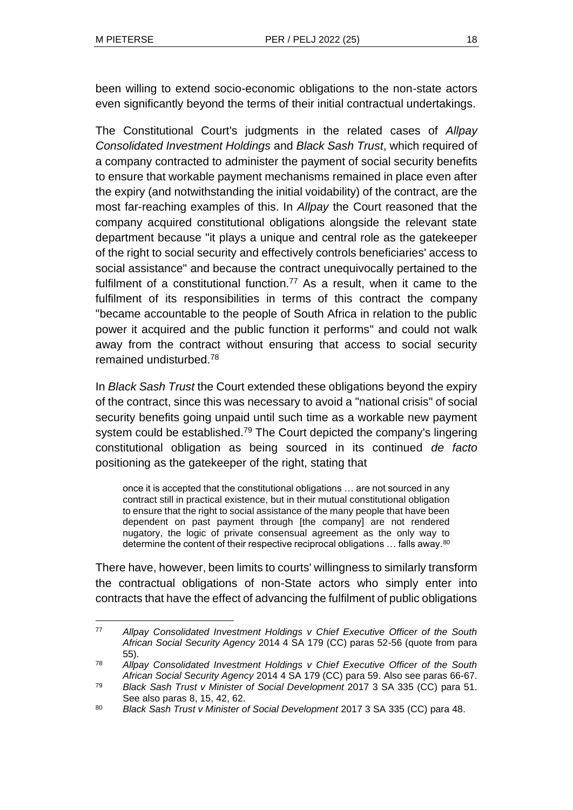been willing to extend socio-economic obligations to the non-state actors even significantly beyond the terms of their initial contractual undertakings.

The Constitutional Court's judgments in the related cases of *Allpay Consolidated Investment Holdings* and *Black Sash Trust*, which required of a company contracted to administer the payment of social security benefits to ensure that workable payment mechanisms remained in place even after the expiry (and notwithstanding the initial voidability) of the contract, are the most far-reaching examples of this. In *Allpay* the Court reasoned that the company acquired constitutional obligations alongside the relevant state department because "it plays a unique and central role as the gatekeeper of the right to social security and effectively controls beneficiaries' access to social assistance" and because the contract unequivocally pertained to the fulfilment of a constitutional function.<sup>77</sup> As a result, when it came to the fulfilment of its responsibilities in terms of this contract the company "became accountable to the people of South Africa in relation to the public power it acquired and the public function it performs" and could not walk away from the contract without ensuring that access to social security remained undisturbed.<sup>78</sup>

In *Black Sash Trust* the Court extended these obligations beyond the expiry of the contract, since this was necessary to avoid a "national crisis" of social security benefits going unpaid until such time as a workable new payment system could be established.<sup>79</sup> The Court depicted the company's lingering constitutional obligation as being sourced in its continued *de facto* positioning as the gatekeeper of the right, stating that

once it is accepted that the constitutional obligations … are not sourced in any contract still in practical existence, but in their mutual constitutional obligation to ensure that the right to social assistance of the many people that have been dependent on past payment through [the company] are not rendered nugatory, the logic of private consensual agreement as the only way to determine the content of their respective reciprocal obligations … falls away.<sup>80</sup>

There have, however, been limits to courts' willingness to similarly transform the contractual obligations of non-State actors who simply enter into contracts that have the effect of advancing the fulfilment of public obligations

<sup>77</sup> *Allpay Consolidated Investment Holdings v Chief Executive Officer of the South African Social Security Agency* 2014 4 SA 179 (CC) paras 52-56 (quote from para 55).

<sup>78</sup> *Allpay Consolidated Investment Holdings v Chief Executive Officer of the South African Social Security Agency* 2014 4 SA 179 (CC) para 59. Also see paras 66-67.

<sup>79</sup> *Black Sash Trust v Minister of Social Development* 2017 3 SA 335 (CC) para 51. See also paras 8, 15, 42, 62.

<sup>80</sup> *Black Sash Trust v Minister of Social Development* 2017 3 SA 335 (CC) para 48.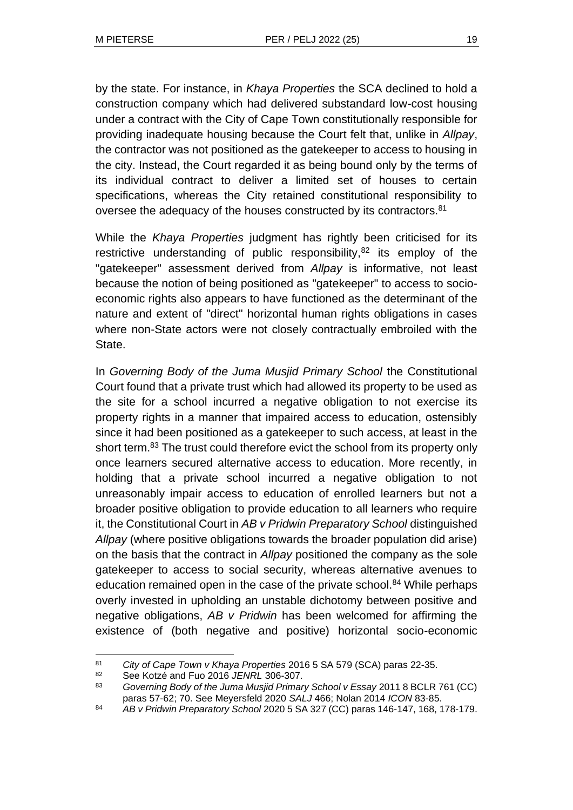by the state. For instance, in *Khaya Properties* the SCA declined to hold a construction company which had delivered substandard low-cost housing under a contract with the City of Cape Town constitutionally responsible for providing inadequate housing because the Court felt that, unlike in *Allpay*, the contractor was not positioned as the gatekeeper to access to housing in the city. Instead, the Court regarded it as being bound only by the terms of its individual contract to deliver a limited set of houses to certain specifications, whereas the City retained constitutional responsibility to oversee the adequacy of the houses constructed by its contractors.<sup>81</sup>

While the *Khaya Properties* judgment has rightly been criticised for its restrictive understanding of public responsibility, $82$  its employ of the "gatekeeper" assessment derived from *Allpay* is informative, not least because the notion of being positioned as "gatekeeper" to access to socioeconomic rights also appears to have functioned as the determinant of the nature and extent of "direct" horizontal human rights obligations in cases where non-State actors were not closely contractually embroiled with the State.

In *Governing Body of the Juma Musjid Primary School* the Constitutional Court found that a private trust which had allowed its property to be used as the site for a school incurred a negative obligation to not exercise its property rights in a manner that impaired access to education, ostensibly since it had been positioned as a gatekeeper to such access, at least in the short term.<sup>83</sup> The trust could therefore evict the school from its property only once learners secured alternative access to education. More recently, in holding that a private school incurred a negative obligation to not unreasonably impair access to education of enrolled learners but not a broader positive obligation to provide education to all learners who require it, the Constitutional Court in *AB v Pridwin Preparatory School* distinguished *Allpay* (where positive obligations towards the broader population did arise) on the basis that the contract in *Allpay* positioned the company as the sole gatekeeper to access to social security, whereas alternative avenues to education remained open in the case of the private school.<sup>84</sup> While perhaps overly invested in upholding an unstable dichotomy between positive and negative obligations, *AB v Pridwin* has been welcomed for affirming the existence of (both negative and positive) horizontal socio-economic

<sup>81</sup> *City of Cape Town v Khaya Properties* 2016 5 SA 579 (SCA) paras 22-35.

<sup>82</sup> See Kotzé and Fuo 2016 *JENRL* 306-307.

<sup>83</sup> *Governing Body of the Juma Musjid Primary School v Essay* 2011 8 BCLR 761 (CC) paras 57-62; 70. See Meyersfeld 2020 *SALJ* 466; Nolan 2014 *ICON* 83-85.

<sup>84</sup> *AB v Pridwin Preparatory School* 2020 5 SA 327 (CC) paras 146-147, 168, 178-179.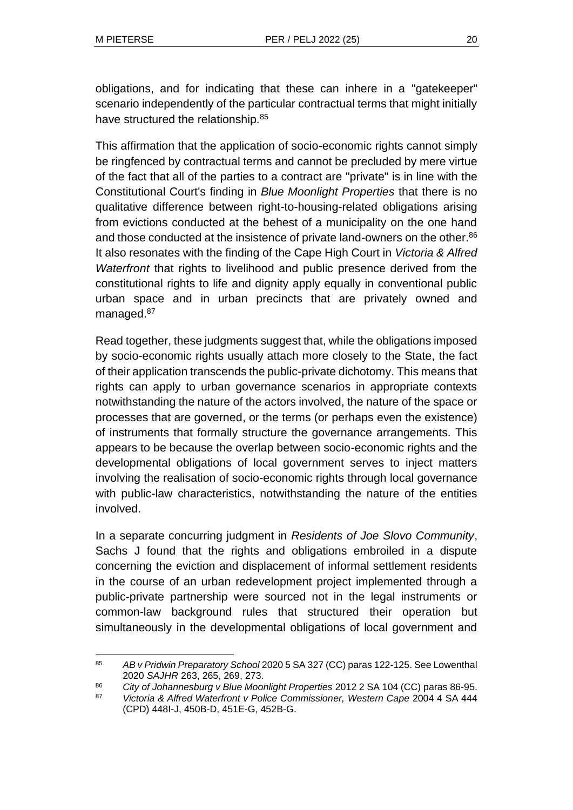obligations, and for indicating that these can inhere in a "gatekeeper" scenario independently of the particular contractual terms that might initially have structured the relationship.<sup>85</sup>

This affirmation that the application of socio-economic rights cannot simply be ringfenced by contractual terms and cannot be precluded by mere virtue of the fact that all of the parties to a contract are "private" is in line with the Constitutional Court's finding in *Blue Moonlight Properties* that there is no qualitative difference between right-to-housing-related obligations arising from evictions conducted at the behest of a municipality on the one hand and those conducted at the insistence of private land-owners on the other.<sup>86</sup> It also resonates with the finding of the Cape High Court in *Victoria & Alfred Waterfront* that rights to livelihood and public presence derived from the constitutional rights to life and dignity apply equally in conventional public urban space and in urban precincts that are privately owned and managed.<sup>87</sup>

Read together, these judgments suggest that, while the obligations imposed by socio-economic rights usually attach more closely to the State, the fact of their application transcends the public-private dichotomy. This means that rights can apply to urban governance scenarios in appropriate contexts notwithstanding the nature of the actors involved, the nature of the space or processes that are governed, or the terms (or perhaps even the existence) of instruments that formally structure the governance arrangements. This appears to be because the overlap between socio-economic rights and the developmental obligations of local government serves to inject matters involving the realisation of socio-economic rights through local governance with public-law characteristics, notwithstanding the nature of the entities involved.

In a separate concurring judgment in *Residents of Joe Slovo Community*, Sachs J found that the rights and obligations embroiled in a dispute concerning the eviction and displacement of informal settlement residents in the course of an urban redevelopment project implemented through a public-private partnership were sourced not in the legal instruments or common-law background rules that structured their operation but simultaneously in the developmental obligations of local government and

<sup>85</sup> *AB v Pridwin Preparatory School* 2020 5 SA 327 (CC) paras 122-125. See Lowenthal 2020 *SAJHR* 263, 265, 269, 273.

<sup>86</sup> *City of Johannesburg v Blue Moonlight Properties* 2012 2 SA 104 (CC) paras 86-95.

<sup>87</sup> *Victoria & Alfred Waterfront v Police Commissioner, Western Cape* 2004 4 SA 444 (CPD) 448I-J, 450B-D, 451E-G, 452B-G.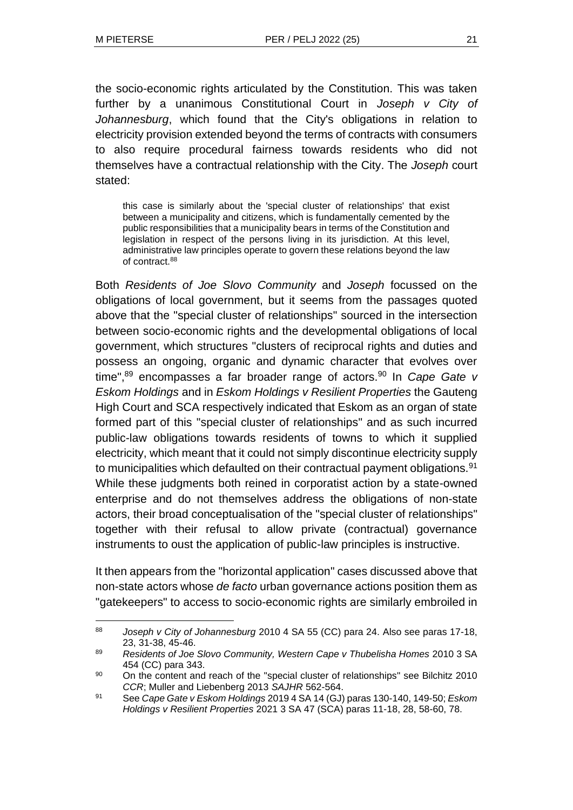the socio-economic rights articulated by the Constitution. This was taken further by a unanimous Constitutional Court in *Joseph v City of Johannesburg*, which found that the City's obligations in relation to electricity provision extended beyond the terms of contracts with consumers to also require procedural fairness towards residents who did not themselves have a contractual relationship with the City. The *Joseph* court stated:

this case is similarly about the 'special cluster of relationships' that exist between a municipality and citizens, which is fundamentally cemented by the public responsibilities that a municipality bears in terms of the Constitution and legislation in respect of the persons living in its jurisdiction. At this level, administrative law principles operate to govern these relations beyond the law of contract.<sup>88</sup>

Both *Residents of Joe Slovo Community* and *Joseph* focussed on the obligations of local government, but it seems from the passages quoted above that the "special cluster of relationships" sourced in the intersection between socio-economic rights and the developmental obligations of local government, which structures "clusters of reciprocal rights and duties and possess an ongoing, organic and dynamic character that evolves over time", <sup>89</sup> encompasses a far broader range of actors.<sup>90</sup> In *Cape Gate v Eskom Holdings* and in *Eskom Holdings v Resilient Properties* the Gauteng High Court and SCA respectively indicated that Eskom as an organ of state formed part of this "special cluster of relationships" and as such incurred public-law obligations towards residents of towns to which it supplied electricity, which meant that it could not simply discontinue electricity supply to municipalities which defaulted on their contractual payment obligations.<sup>91</sup> While these judgments both reined in corporatist action by a state-owned enterprise and do not themselves address the obligations of non-state actors, their broad conceptualisation of the "special cluster of relationships" together with their refusal to allow private (contractual) governance instruments to oust the application of public-law principles is instructive.

It then appears from the "horizontal application" cases discussed above that non-state actors whose *de facto* urban governance actions position them as "gatekeepers" to access to socio-economic rights are similarly embroiled in

<sup>88</sup> *Joseph v City of Johannesburg* 2010 4 SA 55 (CC) para 24. Also see paras 17-18, 23, 31-38, 45-46.

<sup>89</sup> *Residents of Joe Slovo Community, Western Cape v Thubelisha Homes* 2010 3 SA 454 (CC) para 343.

<sup>90</sup> On the content and reach of the "special cluster of relationships" see Bilchitz 2010 *CCR*; Muller and Liebenberg 2013 *SAJHR* 562-564.

<sup>91</sup> See *Cape Gate v Eskom Holdings* 2019 4 SA 14 (GJ) paras 130-140, 149-50; *Eskom Holdings v Resilient Properties* 2021 3 SA 47 (SCA) paras 11-18, 28, 58-60, 78.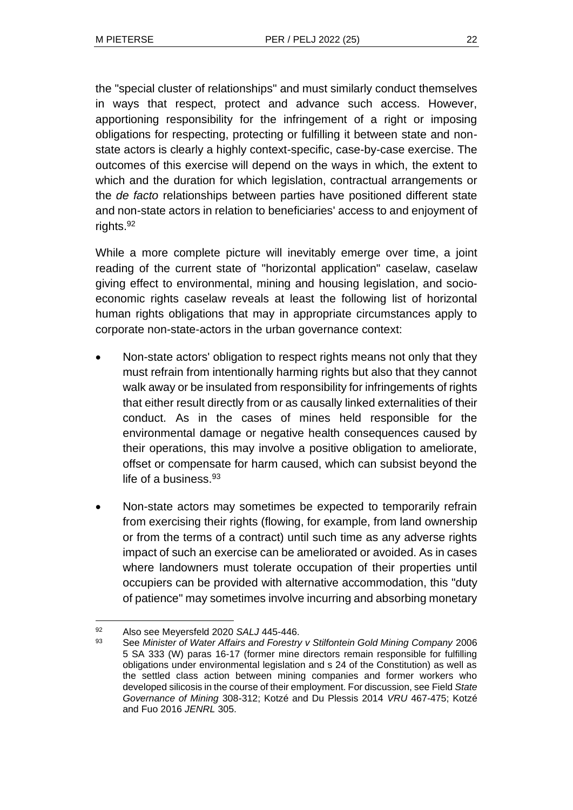the "special cluster of relationships" and must similarly conduct themselves in ways that respect, protect and advance such access. However, apportioning responsibility for the infringement of a right or imposing obligations for respecting, protecting or fulfilling it between state and nonstate actors is clearly a highly context-specific, case-by-case exercise. The outcomes of this exercise will depend on the ways in which, the extent to which and the duration for which legislation, contractual arrangements or the *de facto* relationships between parties have positioned different state and non-state actors in relation to beneficiaries' access to and enjoyment of rights.<sup>92</sup>

While a more complete picture will inevitably emerge over time, a joint reading of the current state of "horizontal application" caselaw, caselaw giving effect to environmental, mining and housing legislation, and socioeconomic rights caselaw reveals at least the following list of horizontal human rights obligations that may in appropriate circumstances apply to corporate non-state-actors in the urban governance context:

- Non-state actors' obligation to respect rights means not only that they must refrain from intentionally harming rights but also that they cannot walk away or be insulated from responsibility for infringements of rights that either result directly from or as causally linked externalities of their conduct. As in the cases of mines held responsible for the environmental damage or negative health consequences caused by their operations, this may involve a positive obligation to ameliorate, offset or compensate for harm caused, which can subsist beyond the life of a business.<sup>93</sup>
- Non-state actors may sometimes be expected to temporarily refrain from exercising their rights (flowing, for example, from land ownership or from the terms of a contract) until such time as any adverse rights impact of such an exercise can be ameliorated or avoided. As in cases where landowners must tolerate occupation of their properties until occupiers can be provided with alternative accommodation, this "duty of patience" may sometimes involve incurring and absorbing monetary

<sup>92</sup> Also see Meyersfeld 2020 *SALJ* 445-446.

<sup>93</sup> See *Minister of Water Affairs and Forestry v Stilfontein Gold Mining Company* 2006 5 SA 333 (W) paras 16-17 (former mine directors remain responsible for fulfilling obligations under environmental legislation and s 24 of the Constitution) as well as the settled class action between mining companies and former workers who developed silicosis in the course of their employment. For discussion, see Field *State Governance of Mining* 308-312; Kotzé and Du Plessis 2014 *VRU* 467-475; Kotzé and Fuo 2016 *JENRL* 305.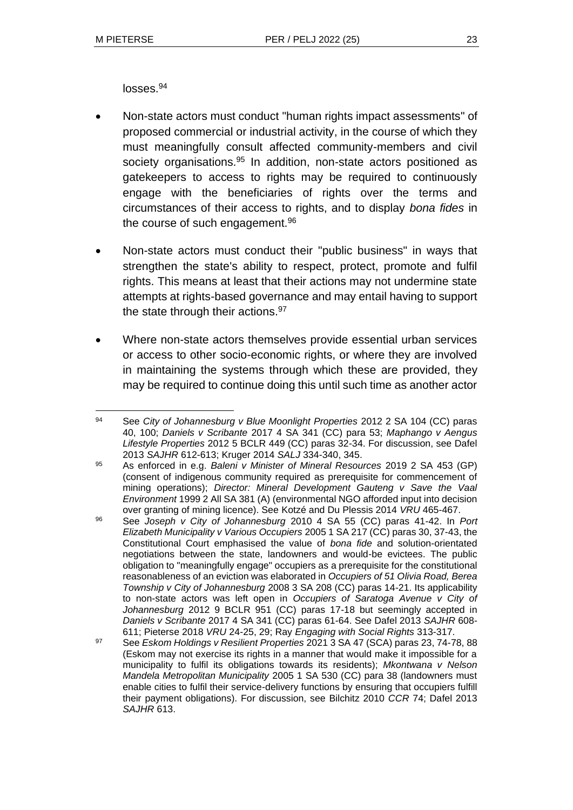losses.<sup>94</sup>

- Non-state actors must conduct "human rights impact assessments" of proposed commercial or industrial activity, in the course of which they must meaningfully consult affected community-members and civil society organisations.<sup>95</sup> In addition, non-state actors positioned as gatekeepers to access to rights may be required to continuously engage with the beneficiaries of rights over the terms and circumstances of their access to rights, and to display *bona fides* in the course of such engagement.<sup>96</sup>
- Non-state actors must conduct their "public business" in ways that strengthen the state's ability to respect, protect, promote and fulfil rights. This means at least that their actions may not undermine state attempts at rights-based governance and may entail having to support the state through their actions.<sup>97</sup>
- Where non-state actors themselves provide essential urban services or access to other socio-economic rights, or where they are involved in maintaining the systems through which these are provided, they may be required to continue doing this until such time as another actor

<sup>94</sup> See *City of Johannesburg v Blue Moonlight Properties* 2012 2 SA 104 (CC) paras 40, 100; *Daniels v Scribante* 2017 4 SA 341 (CC) para 53; *Maphango v Aengus Lifestyle Properties* 2012 5 BCLR 449 (CC) paras 32-34. For discussion, see Dafel 2013 *SAJHR* 612-613; Kruger 2014 *SALJ* 334-340, 345.

<sup>95</sup> As enforced in e.g. *Baleni v Minister of Mineral Resources* 2019 2 SA 453 (GP) (consent of indigenous community required as prerequisite for commencement of mining operations); *Director: Mineral Development Gauteng v Save the Vaal Environment* 1999 2 All SA 381 (A) (environmental NGO afforded input into decision over granting of mining licence). See Kotzé and Du Plessis 2014 *VRU* 465-467.

<sup>96</sup> See *Joseph v City of Johannesburg* 2010 4 SA 55 (CC) paras 41-42. In *Port Elizabeth Municipality v Various Occupiers* 2005 1 SA 217 (CC) paras 30, 37-43, the Constitutional Court emphasised the value of *bona fide* and solution-orientated negotiations between the state, landowners and would-be evictees. The public obligation to "meaningfully engage" occupiers as a prerequisite for the constitutional reasonableness of an eviction was elaborated in *Occupiers of 51 Olivia Road, Berea Township v City of Johannesburg* 2008 3 SA 208 (CC) paras 14-21. Its applicability to non-state actors was left open in *Occupiers of Saratoga Avenue v City of Johannesburg* 2012 9 BCLR 951 (CC) paras 17-18 but seemingly accepted in *Daniels v Scribante* 2017 4 SA 341 (CC) paras 61-64. See Dafel 2013 *SAJHR* 608- 611; Pieterse 2018 *VRU* 24-25, 29; Ray *Engaging with Social Rights* 313-317.

<sup>97</sup> See *Eskom Holdings v Resilient Properties* 2021 3 SA 47 (SCA) paras 23, 74-78, 88 (Eskom may not exercise its rights in a manner that would make it impossible for a municipality to fulfil its obligations towards its residents); *Mkontwana v Nelson Mandela Metropolitan Municipality* 2005 1 SA 530 (CC) para 38 (landowners must enable cities to fulfil their service-delivery functions by ensuring that occupiers fulfill their payment obligations). For discussion, see Bilchitz 2010 *CCR* 74; Dafel 2013 *SAJHR* 613.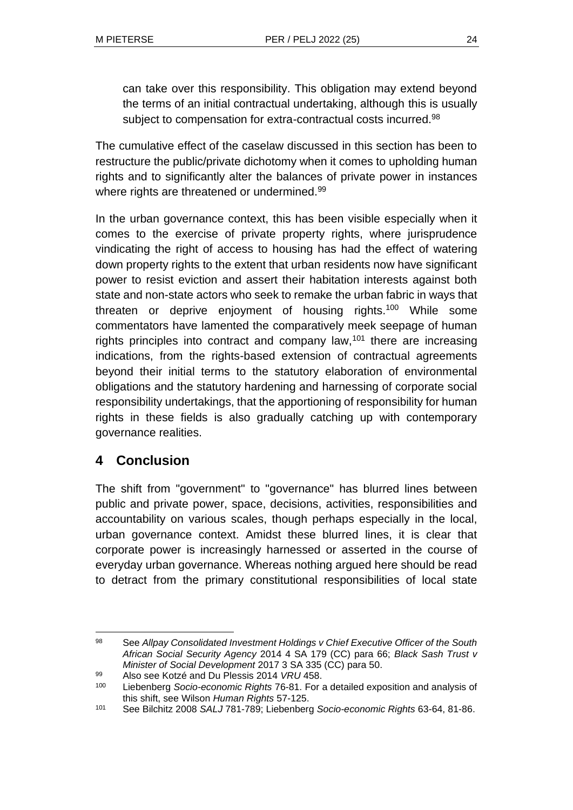can take over this responsibility. This obligation may extend beyond the terms of an initial contractual undertaking, although this is usually subject to compensation for extra-contractual costs incurred.<sup>98</sup>

The cumulative effect of the caselaw discussed in this section has been to restructure the public/private dichotomy when it comes to upholding human rights and to significantly alter the balances of private power in instances where rights are threatened or undermined.<sup>99</sup>

In the urban governance context, this has been visible especially when it comes to the exercise of private property rights, where jurisprudence vindicating the right of access to housing has had the effect of watering down property rights to the extent that urban residents now have significant power to resist eviction and assert their habitation interests against both state and non-state actors who seek to remake the urban fabric in ways that threaten or deprive enjoyment of housing rights.<sup>100</sup> While some commentators have lamented the comparatively meek seepage of human rights principles into contract and company law,  $101$  there are increasing indications, from the rights-based extension of contractual agreements beyond their initial terms to the statutory elaboration of environmental obligations and the statutory hardening and harnessing of corporate social responsibility undertakings, that the apportioning of responsibility for human rights in these fields is also gradually catching up with contemporary governance realities.

# **4 Conclusion**

The shift from "government" to "governance" has blurred lines between public and private power, space, decisions, activities, responsibilities and accountability on various scales, though perhaps especially in the local, urban governance context. Amidst these blurred lines, it is clear that corporate power is increasingly harnessed or asserted in the course of everyday urban governance. Whereas nothing argued here should be read to detract from the primary constitutional responsibilities of local state

<sup>98</sup> See *Allpay Consolidated Investment Holdings v Chief Executive Officer of the South African Social Security Agency* 2014 4 SA 179 (CC) para 66; *Black Sash Trust v Minister of Social Development* 2017 3 SA 335 (CC) para 50.

<sup>99</sup> Also see Kotzé and Du Plessis 2014 *VRU* 458.

<sup>100</sup> Liebenberg *Socio-economic Rights* 76-81. For a detailed exposition and analysis of this shift, see Wilson *Human Rights* 57-125.

<sup>101</sup> See Bilchitz 2008 *SALJ* 781-789; Liebenberg *Socio-economic Rights* 63-64, 81-86.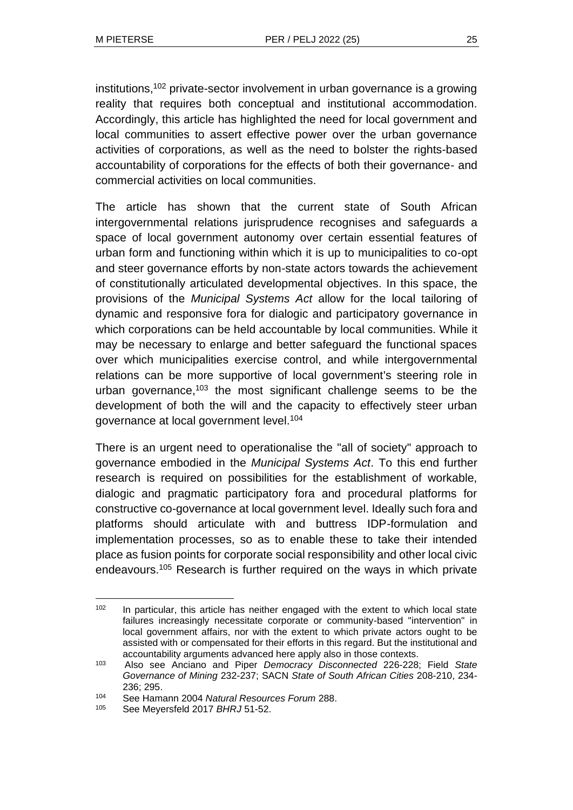institutions,<sup>102</sup> private-sector involvement in urban governance is a growing reality that requires both conceptual and institutional accommodation. Accordingly, this article has highlighted the need for local government and local communities to assert effective power over the urban governance activities of corporations, as well as the need to bolster the rights-based accountability of corporations for the effects of both their governance- and commercial activities on local communities.

The article has shown that the current state of South African intergovernmental relations jurisprudence recognises and safeguards a space of local government autonomy over certain essential features of urban form and functioning within which it is up to municipalities to co-opt and steer governance efforts by non-state actors towards the achievement of constitutionally articulated developmental objectives. In this space, the provisions of the *Municipal Systems Act* allow for the local tailoring of dynamic and responsive fora for dialogic and participatory governance in which corporations can be held accountable by local communities. While it may be necessary to enlarge and better safeguard the functional spaces over which municipalities exercise control, and while intergovernmental relations can be more supportive of local government's steering role in urban governance,<sup>103</sup> the most significant challenge seems to be the development of both the will and the capacity to effectively steer urban governance at local government level.<sup>104</sup>

There is an urgent need to operationalise the "all of society" approach to governance embodied in the *Municipal Systems Act*. To this end further research is required on possibilities for the establishment of workable, dialogic and pragmatic participatory fora and procedural platforms for constructive co-governance at local government level. Ideally such fora and platforms should articulate with and buttress IDP-formulation and implementation processes, so as to enable these to take their intended place as fusion points for corporate social responsibility and other local civic endeavours.<sup>105</sup> Research is further required on the ways in which private

<sup>&</sup>lt;sup>102</sup> In particular, this article has neither engaged with the extent to which local state failures increasingly necessitate corporate or community-based "intervention" in local government affairs, nor with the extent to which private actors ought to be assisted with or compensated for their efforts in this regard. But the institutional and accountability arguments advanced here apply also in those contexts.

<sup>103</sup> Also see Anciano and Piper *Democracy Disconnected* 226-228; Field *State Governance of Mining* 232-237; SACN *State of South African Cities* 208-210, 234- 236; 295.

<sup>104</sup> See Hamann 2004 *Natural Resources Forum* 288.

See Meyersfeld 2017 **BHRJ** 51-52.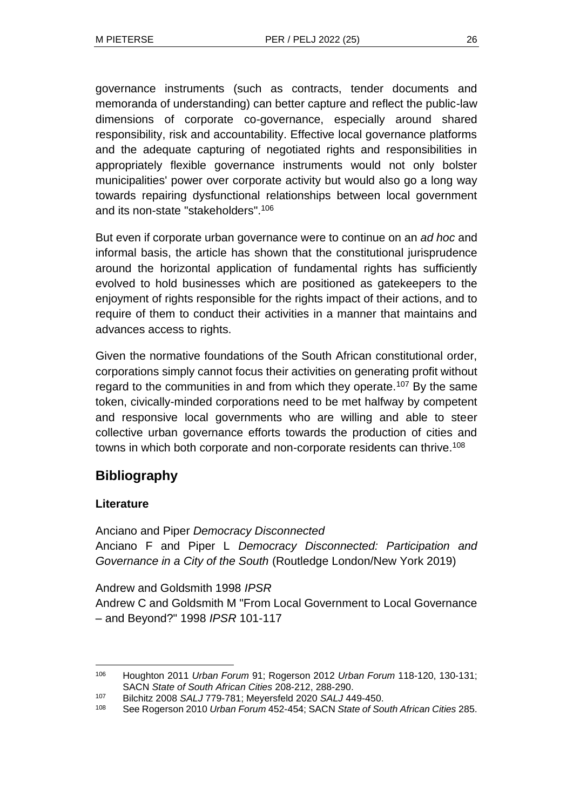governance instruments (such as contracts, tender documents and memoranda of understanding) can better capture and reflect the public-law dimensions of corporate co-governance, especially around shared responsibility, risk and accountability. Effective local governance platforms and the adequate capturing of negotiated rights and responsibilities in appropriately flexible governance instruments would not only bolster municipalities' power over corporate activity but would also go a long way towards repairing dysfunctional relationships between local government and its non-state "stakeholders". 106

But even if corporate urban governance were to continue on an *ad hoc* and informal basis, the article has shown that the constitutional jurisprudence around the horizontal application of fundamental rights has sufficiently evolved to hold businesses which are positioned as gatekeepers to the enjoyment of rights responsible for the rights impact of their actions, and to require of them to conduct their activities in a manner that maintains and advances access to rights.

Given the normative foundations of the South African constitutional order, corporations simply cannot focus their activities on generating profit without regard to the communities in and from which they operate.<sup>107</sup> By the same token, civically-minded corporations need to be met halfway by competent and responsive local governments who are willing and able to steer collective urban governance efforts towards the production of cities and towns in which both corporate and non-corporate residents can thrive.<sup>108</sup>

# **Bibliography**

# **Literature**

Anciano and Piper *Democracy Disconnected* Anciano F and Piper L *Democracy Disconnected: Participation and Governance in a City of the South* (Routledge London/New York 2019)

Andrew and Goldsmith 1998 *IPSR* Andrew C and Goldsmith M "From Local Government to Local Governance – and Beyond?" 1998 *IPSR* 101-117

<sup>106</sup> Houghton 2011 *Urban Forum* 91; Rogerson 2012 *Urban Forum* 118-120, 130-131; SACN *State of South African Cities* 208-212, 288-290.

<sup>107</sup> Bilchitz 2008 *SALJ* 779-781; Meyersfeld 2020 *SALJ* 449-450.

<sup>108</sup> See Rogerson 2010 *Urban Forum* 452-454; SACN *State of South African Cities* 285.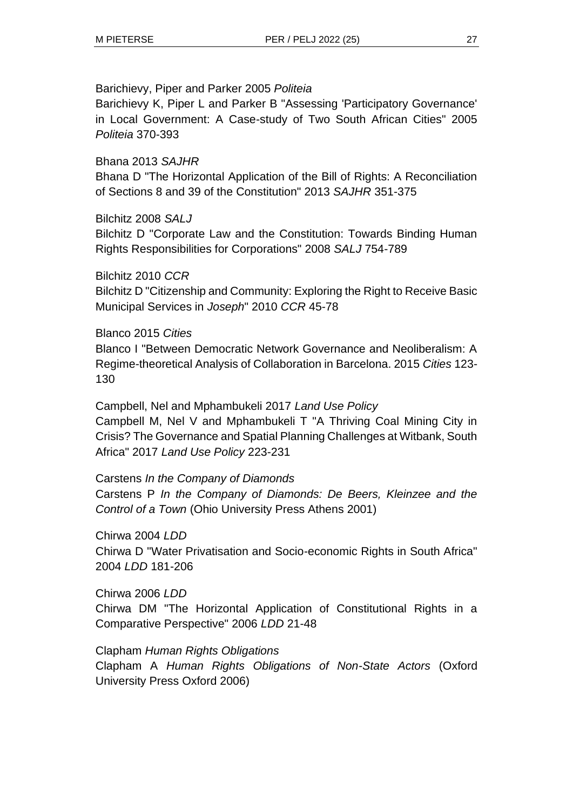#### Barichievy, Piper and Parker 2005 *Politeia*

Barichievy K, Piper L and Parker B "Assessing 'Participatory Governance' in Local Government: A Case-study of Two South African Cities" 2005 *Politeia* 370-393

# Bhana 2013 *SAJHR*

Bhana D "The Horizontal Application of the Bill of Rights: A Reconciliation of Sections 8 and 39 of the Constitution" 2013 *SAJHR* 351-375

# Bilchitz 2008 *SALJ*

Bilchitz D "Corporate Law and the Constitution: Towards Binding Human Rights Responsibilities for Corporations" 2008 *SALJ* 754-789

### Bilchitz 2010 *CCR*

Bilchitz D "Citizenship and Community: Exploring the Right to Receive Basic Municipal Services in *Joseph*" 2010 *CCR* 45-78

### Blanco 2015 *Cities*

Blanco I "Between Democratic Network Governance and Neoliberalism: A Regime-theoretical Analysis of Collaboration in Barcelona. 2015 *Cities* 123- 130

Campbell, Nel and Mphambukeli 2017 *Land Use Policy* Campbell M, Nel V and Mphambukeli T "A Thriving Coal Mining City in Crisis? The Governance and Spatial Planning Challenges at Witbank, South Africa" 2017 *Land Use Policy* 223-231

# Carstens *In the Company of Diamonds* Carstens P *In the Company of Diamonds: De Beers, Kleinzee and the Control of a Town* (Ohio University Press Athens 2001)

# Chirwa 2004 *LDD*

Chirwa D "Water Privatisation and Socio-economic Rights in South Africa" 2004 *LDD* 181-206

#### Chirwa 2006 *LDD*

Chirwa DM "The Horizontal Application of Constitutional Rights in a Comparative Perspective" 2006 *LDD* 21-48

#### Clapham *Human Rights Obligations*

Clapham A *Human Rights Obligations of Non-State Actors* (Oxford University Press Oxford 2006)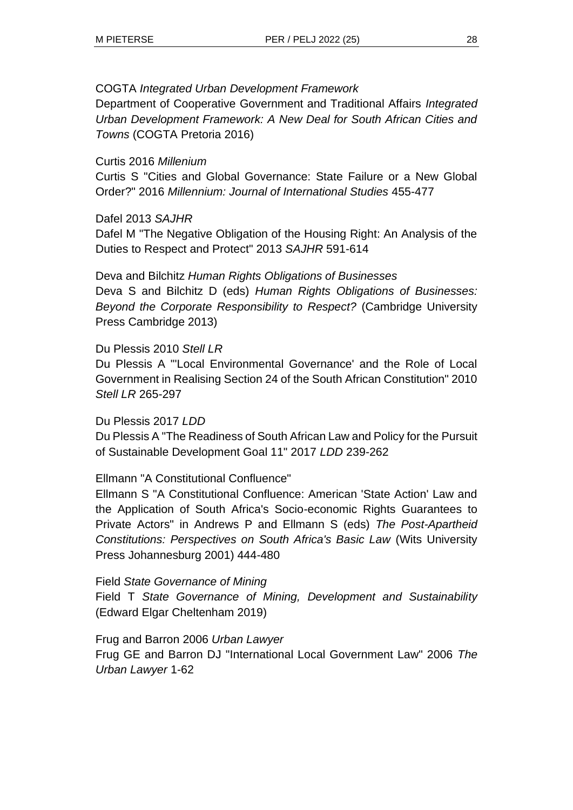# COGTA *Integrated Urban Development Framework*

Department of Cooperative Government and Traditional Affairs *Integrated Urban Development Framework: A New Deal for South African Cities and Towns* (COGTA Pretoria 2016)

# Curtis 2016 *Millenium*

Curtis S "Cities and Global Governance: State Failure or a New Global Order?" 2016 *Millennium: Journal of International Studies* 455-477

# Dafel 2013 *SAJHR*

Dafel M "The Negative Obligation of the Housing Right: An Analysis of the Duties to Respect and Protect" 2013 *SAJHR* 591-614

Deva and Bilchitz *Human Rights Obligations of Businesses* Deva S and Bilchitz D (eds) *Human Rights Obligations of Businesses: Beyond the Corporate Responsibility to Respect?* (Cambridge University Press Cambridge 2013)

# Du Plessis 2010 *Stell LR*

Du Plessis A "'Local Environmental Governance' and the Role of Local Government in Realising Section 24 of the South African Constitution" 2010 *Stell LR* 265-297

# Du Plessis 2017 *LDD*

Du Plessis A "The Readiness of South African Law and Policy for the Pursuit of Sustainable Development Goal 11" 2017 *LDD* 239-262

# Ellmann "A Constitutional Confluence"

Ellmann S "A Constitutional Confluence: American 'State Action' Law and the Application of South Africa's Socio-economic Rights Guarantees to Private Actors" in Andrews P and Ellmann S (eds) *The Post-Apartheid Constitutions: Perspectives on South Africa's Basic Law* (Wits University Press Johannesburg 2001) 444-480

Field *State Governance of Mining*

Field T *State Governance of Mining, Development and Sustainability* (Edward Elgar Cheltenham 2019)

# Frug and Barron 2006 *Urban Lawyer*

Frug GE and Barron DJ "International Local Government Law" 2006 *The Urban Lawyer* 1-62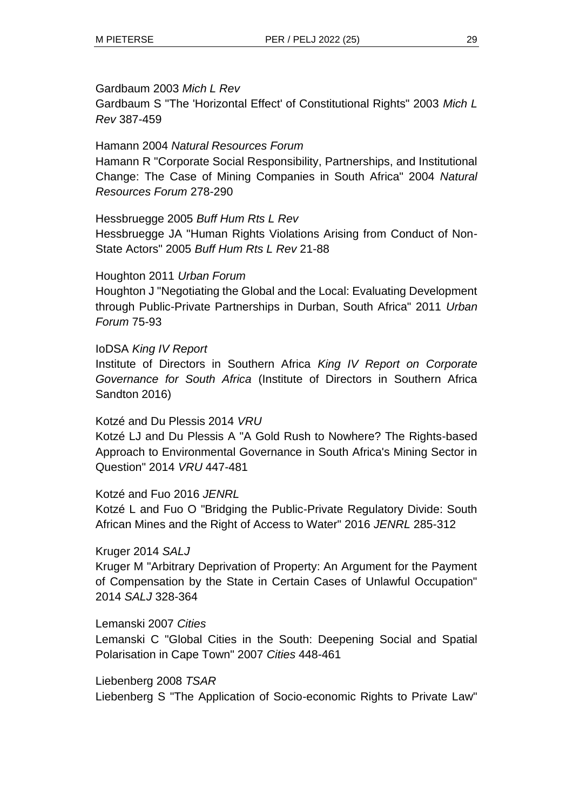#### Gardbaum 2003 *Mich L Rev*

Gardbaum S "The 'Horizontal Effect' of Constitutional Rights" 2003 *Mich L Rev* 387-459

# Hamann 2004 *Natural Resources Forum*

Hamann R "Corporate Social Responsibility, Partnerships, and Institutional Change: The Case of Mining Companies in South Africa" 2004 *Natural Resources Forum* 278-290

# Hessbruegge 2005 *Buff Hum Rts L Rev*

Hessbruegge JA "Human Rights Violations Arising from Conduct of Non-State Actors" 2005 *Buff Hum Rts L Rev* 21-88

# Houghton 2011 *Urban Forum*

Houghton J "Negotiating the Global and the Local: Evaluating Development through Public-Private Partnerships in Durban, South Africa" 2011 *Urban Forum* 75-93

# IoDSA *King IV Report*

Institute of Directors in Southern Africa *King IV Report on Corporate Governance for South Africa* (Institute of Directors in Southern Africa Sandton 2016)

# Kotzé and Du Plessis 2014 *VRU*

Kotzé LJ and Du Plessis A "A Gold Rush to Nowhere? The Rights-based Approach to Environmental Governance in South Africa's Mining Sector in Question" 2014 *VRU* 447-481

# Kotzé and Fuo 2016 *JENRL*

Kotzé L and Fuo O "Bridging the Public-Private Regulatory Divide: South African Mines and the Right of Access to Water" 2016 *JENRL* 285-312

# Kruger 2014 *SALJ*

Kruger M "Arbitrary Deprivation of Property: An Argument for the Payment of Compensation by the State in Certain Cases of Unlawful Occupation" 2014 *SALJ* 328-364

# Lemanski 2007 *Cities*

Lemanski C "Global Cities in the South: Deepening Social and Spatial Polarisation in Cape Town" 2007 *Cities* 448-461

Liebenberg 2008 *TSAR*

Liebenberg S "The Application of Socio-economic Rights to Private Law"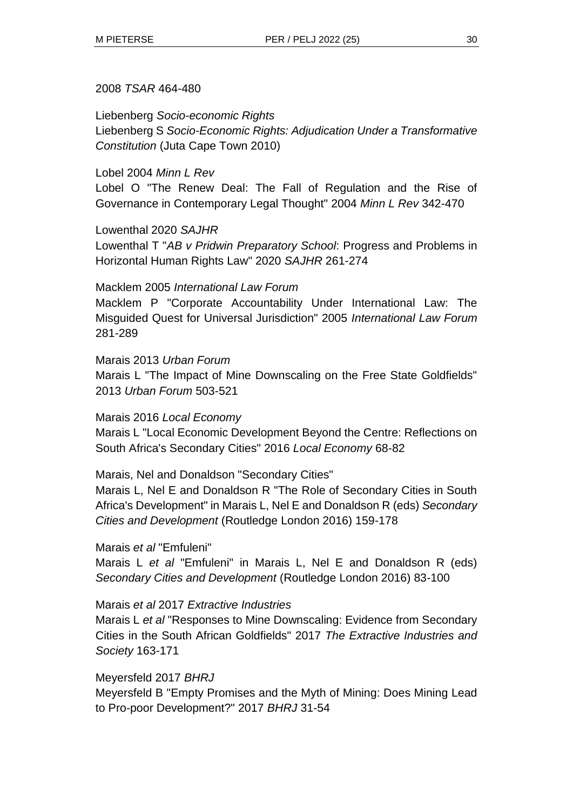#### 2008 *TSAR* 464-480

Liebenberg *Socio-economic Rights*

Liebenberg S *Socio-Economic Rights: Adjudication Under a Transformative Constitution* (Juta Cape Town 2010)

# Lobel 2004 *Minn L Rev*

Lobel O "The Renew Deal: The Fall of Regulation and the Rise of Governance in Contemporary Legal Thought" 2004 *Minn L Rev* 342-470

### Lowenthal 2020 *SAJHR*

Lowenthal T "*AB v Pridwin Preparatory School*: Progress and Problems in Horizontal Human Rights Law" 2020 *SAJHR* 261-274

### Macklem 2005 *International Law Forum*

Macklem P "Corporate Accountability Under International Law: The Misguided Quest for Universal Jurisdiction" 2005 *International Law Forum* 281-289

#### Marais 2013 *Urban Forum*

Marais L "The Impact of Mine Downscaling on the Free State Goldfields" 2013 *Urban Forum* 503-521

#### Marais 2016 *Local Economy*

Marais L "Local Economic Development Beyond the Centre: Reflections on South Africa's Secondary Cities" 2016 *Local Economy* 68-82

# Marais, Nel and Donaldson "Secondary Cities"

Marais L, Nel E and Donaldson R "The Role of Secondary Cities in South Africa's Development" in Marais L, Nel E and Donaldson R (eds) *Secondary Cities and Development* (Routledge London 2016) 159-178

#### Marais *et al* "Emfuleni"

Marais L *et al* "Emfuleni" in Marais L, Nel E and Donaldson R (eds) *Secondary Cities and Development* (Routledge London 2016) 83-100

#### Marais *et al* 2017 *Extractive Industries*

Marais L *et al* "Responses to Mine Downscaling: Evidence from Secondary Cities in the South African Goldfields" 2017 *The Extractive Industries and Society* 163-171

# Meyersfeld 2017 *BHRJ* Meyersfeld B "Empty Promises and the Myth of Mining: Does Mining Lead to Pro-poor Development?" 2017 *BHRJ* 31-54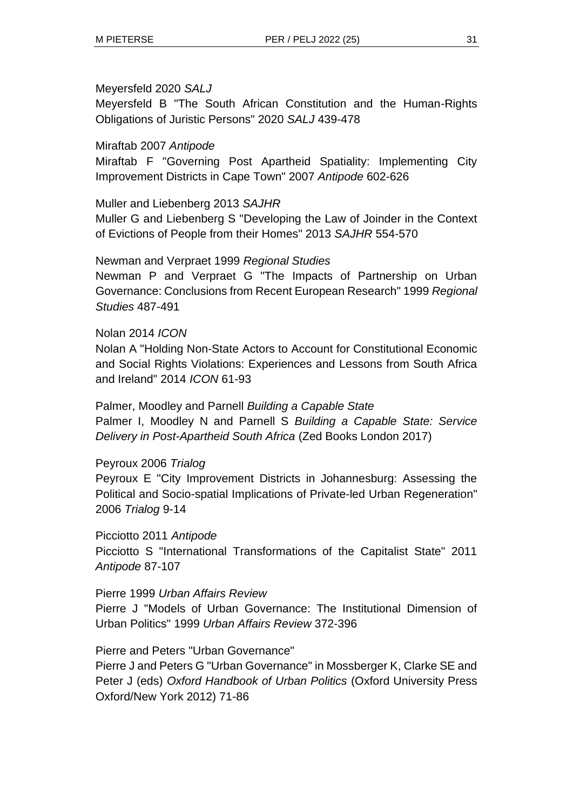#### Meyersfeld 2020 *SALJ*

Meyersfeld B "The South African Constitution and the Human-Rights Obligations of Juristic Persons" 2020 *SALJ* 439-478

#### Miraftab 2007 *Antipode*

Miraftab F "Governing Post Apartheid Spatiality: Implementing City Improvement Districts in Cape Town" 2007 *Antipode* 602-626

#### Muller and Liebenberg 2013 *SAJHR*

Muller G and Liebenberg S "Developing the Law of Joinder in the Context of Evictions of People from their Homes" 2013 *SAJHR* 554-570

#### Newman and Verpraet 1999 *Regional Studies*

Newman P and Verpraet G "The Impacts of Partnership on Urban Governance: Conclusions from Recent European Research" 1999 *Regional Studies* 487-491

#### Nolan 2014 *ICON*

Nolan A "Holding Non-State Actors to Account for Constitutional Economic and Social Rights Violations: Experiences and Lessons from South Africa and Ireland" 2014 *ICON* 61-93

# Palmer, Moodley and Parnell *Building a Capable State* Palmer I, Moodley N and Parnell S *Building a Capable State: Service Delivery in Post-Apartheid South Africa* (Zed Books London 2017)

#### Peyroux 2006 *Trialog*

Peyroux E "City Improvement Districts in Johannesburg: Assessing the Political and Socio-spatial Implications of Private-led Urban Regeneration" 2006 *Trialog* 9-14

Picciotto 2011 *Antipode*

Picciotto S "International Transformations of the Capitalist State" 2011 *Antipode* 87-107

#### Pierre 1999 *Urban Affairs Review*

Pierre J "Models of Urban Governance: The Institutional Dimension of Urban Politics" 1999 *Urban Affairs Review* 372-396

Pierre and Peters "Urban Governance"

Pierre J and Peters G "Urban Governance" in Mossberger K, Clarke SE and Peter J (eds) *Oxford Handbook of Urban Politics* (Oxford University Press Oxford/New York 2012) 71-86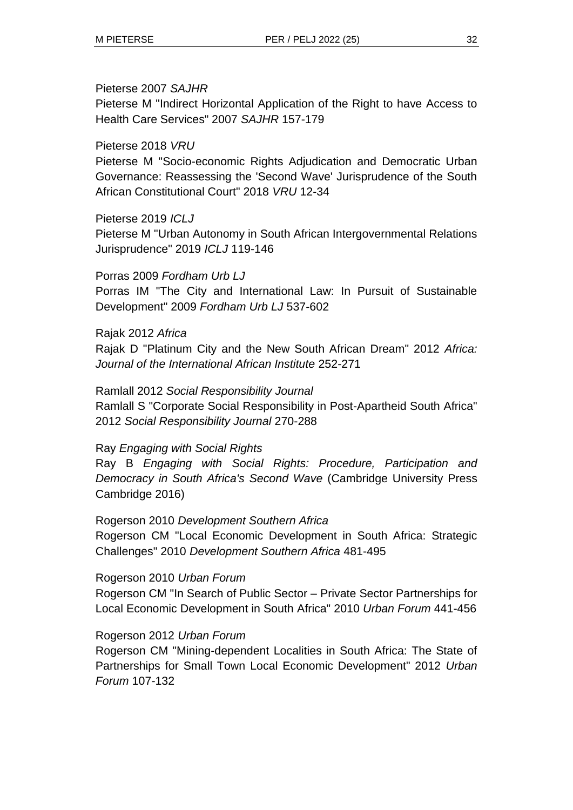#### Pieterse 2007 *SAJHR*

Pieterse M "Indirect Horizontal Application of the Right to have Access to Health Care Services" 2007 *SAJHR* 157-179

#### Pieterse 2018 *VRU*

Pieterse M "Socio-economic Rights Adjudication and Democratic Urban Governance: Reassessing the 'Second Wave' Jurisprudence of the South African Constitutional Court" 2018 *VRU* 12-34

#### Pieterse 2019 *ICLJ*

Pieterse M "Urban Autonomy in South African Intergovernmental Relations Jurisprudence" 2019 *ICLJ* 119-146

#### Porras 2009 *Fordham Urb LJ*

Porras IM "The City and International Law: In Pursuit of Sustainable Development" 2009 *Fordham Urb LJ* 537-602

#### Rajak 2012 *Africa*

Rajak D "Platinum City and the New South African Dream" 2012 *Africa: Journal of the International African Institute* 252-271

Ramlall 2012 *Social Responsibility Journal* Ramlall S "Corporate Social Responsibility in Post-Apartheid South Africa" 2012 *Social Responsibility Journal* 270-288

#### Ray *Engaging with Social Rights*

Ray B *Engaging with Social Rights: Procedure, Participation and Democracy in South Africa's Second Wave* (Cambridge University Press Cambridge 2016)

Rogerson 2010 *Development Southern Africa*

Rogerson CM "Local Economic Development in South Africa: Strategic Challenges" 2010 *Development Southern Africa* 481-495

#### Rogerson 2010 *Urban Forum*

Rogerson CM "In Search of Public Sector – Private Sector Partnerships for Local Economic Development in South Africa" 2010 *Urban Forum* 441-456

#### Rogerson 2012 *Urban Forum*

Rogerson CM "Mining-dependent Localities in South Africa: The State of Partnerships for Small Town Local Economic Development" 2012 *Urban Forum* 107-132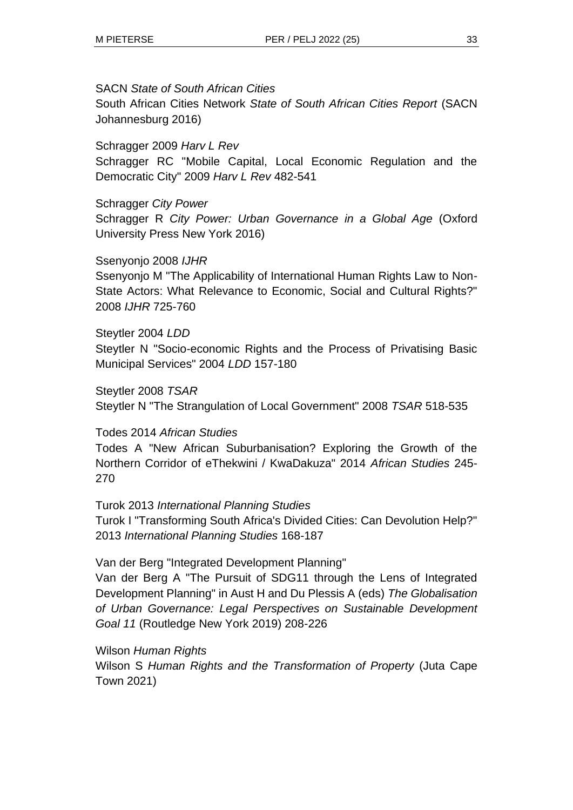### SACN *State of South African Cities*

South African Cities Network *State of South African Cities Report* (SACN Johannesburg 2016)

Schragger 2009 *Harv L Rev* Schragger RC "Mobile Capital, Local Economic Regulation and the Democratic City" 2009 *Harv L Rev* 482-541

# Schragger *City Power*

Schragger R *City Power: Urban Governance in a Global Age* (Oxford University Press New York 2016)

# Ssenyonjo 2008 *IJHR*

Ssenyonjo M "The Applicability of International Human Rights Law to Non-State Actors: What Relevance to Economic, Social and Cultural Rights?" 2008 *IJHR* 725-760

### Steytler 2004 *LDD*

Steytler N "Socio-economic Rights and the Process of Privatising Basic Municipal Services" 2004 *LDD* 157-180

Steytler 2008 *TSAR*

Steytler N "The Strangulation of Local Government" 2008 *TSAR* 518-535

# Todes 2014 *African Studies*

Todes A "New African Suburbanisation? Exploring the Growth of the Northern Corridor of eThekwini / KwaDakuza" 2014 *African Studies* 245- 270

# Turok 2013 *International Planning Studies*

Turok I "Transforming South Africa's Divided Cities: Can Devolution Help?" 2013 *International Planning Studies* 168-187

# Van der Berg "Integrated Development Planning"

Van der Berg A "The Pursuit of SDG11 through the Lens of Integrated Development Planning" in Aust H and Du Plessis A (eds) *The Globalisation of Urban Governance: Legal Perspectives on Sustainable Development Goal 11* (Routledge New York 2019) 208-226

# Wilson *Human Rights*

Wilson S *Human Rights and the Transformation of Property* (Juta Cape Town 2021)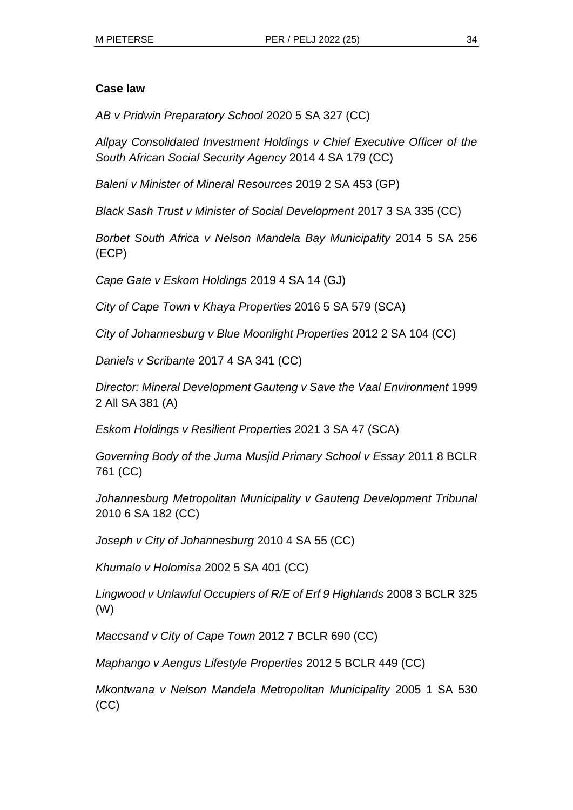#### **Case law**

*AB v Pridwin Preparatory School* 2020 5 SA 327 (CC)

*Allpay Consolidated Investment Holdings v Chief Executive Officer of the South African Social Security Agency* 2014 4 SA 179 (CC)

*Baleni v Minister of Mineral Resources* 2019 2 SA 453 (GP)

*Black Sash Trust v Minister of Social Development* 2017 3 SA 335 (CC)

*Borbet South Africa v Nelson Mandela Bay Municipality* 2014 5 SA 256 (ECP)

*Cape Gate v Eskom Holdings* 2019 4 SA 14 (GJ)

*City of Cape Town v Khaya Properties* 2016 5 SA 579 (SCA)

*City of Johannesburg v Blue Moonlight Properties* 2012 2 SA 104 (CC)

*Daniels v Scribante* 2017 4 SA 341 (CC)

*Director: Mineral Development Gauteng v Save the Vaal Environment* 1999 2 All SA 381 (A)

*Eskom Holdings v Resilient Properties* 2021 3 SA 47 (SCA)

*Governing Body of the Juma Musjid Primary School v Essay* 2011 8 BCLR 761 (CC)

*Johannesburg Metropolitan Municipality v Gauteng Development Tribunal* 2010 6 SA 182 (CC)

*Joseph v City of Johannesburg* 2010 4 SA 55 (CC)

*Khumalo v Holomisa* 2002 5 SA 401 (CC)

*Lingwood v Unlawful Occupiers of R/E of Erf 9 Highlands* 2008 3 BCLR 325 (W)

*Maccsand v City of Cape Town* 2012 7 BCLR 690 (CC)

*Maphango v Aengus Lifestyle Properties* 2012 5 BCLR 449 (CC)

*Mkontwana v Nelson Mandela Metropolitan Municipality* 2005 1 SA 530 (CC)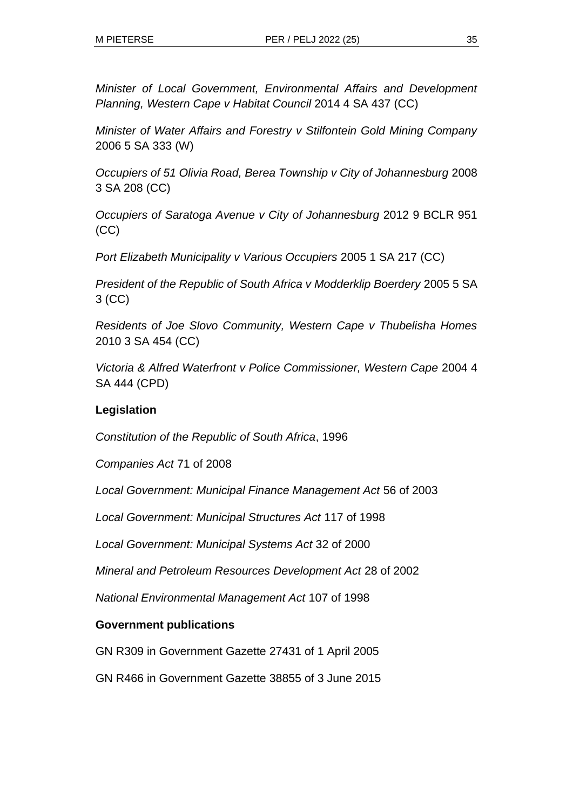*Minister of Local Government, Environmental Affairs and Development Planning, Western Cape v Habitat Council* 2014 4 SA 437 (CC)

*Minister of Water Affairs and Forestry v Stilfontein Gold Mining Company*  2006 5 SA 333 (W)

*Occupiers of 51 Olivia Road, Berea Township v City of Johannesburg* 2008 3 SA 208 (CC)

*Occupiers of Saratoga Avenue v City of Johannesburg* 2012 9 BCLR 951 (CC)

*Port Elizabeth Municipality v Various Occupiers* 2005 1 SA 217 (CC)

*President of the Republic of South Africa v Modderklip Boerdery* 2005 5 SA 3 (CC)

*Residents of Joe Slovo Community, Western Cape v Thubelisha Homes*  2010 3 SA 454 (CC)

*Victoria & Alfred Waterfront v Police Commissioner, Western Cape* 2004 4 SA 444 (CPD)

# **Legislation**

*Constitution of the Republic of South Africa*, 1996

*Companies Act* 71 of 2008

*Local Government: Municipal Finance Management Act* 56 of 2003

*Local Government: Municipal Structures Act* 117 of 1998

*Local Government: Municipal Systems Act* 32 of 2000

*Mineral and Petroleum Resources Development Act* 28 of 2002

*National Environmental Management Act* 107 of 1998

#### **Government publications**

GN R309 in Government Gazette 27431 of 1 April 2005

GN R466 in Government Gazette 38855 of 3 June 2015